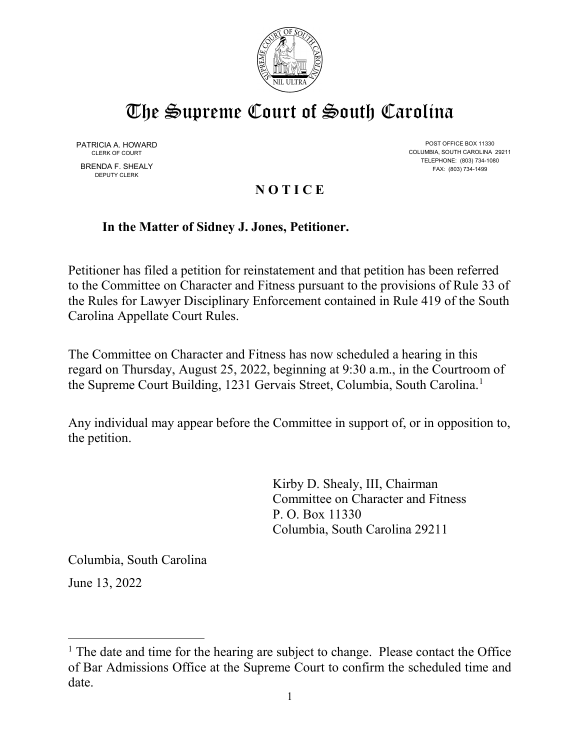

# The Supreme Court of South Carolina

DEPUTY CLERK

PATRICIA A. HOWARD POST OFFICE BOX 11330<br>CLERK OF COURT CONTROLLINA COLUMBIA, SOUTH CAROLINA 29211 TELEPHONE: (803) 734-1080 BRENDA F. SHEALY FAX: (803) 734-1499

# **N O T I C E**

# **In the Matter of Sidney J. Jones, Petitioner.**

Petitioner has filed a petition for reinstatement and that petition has been referred to the Committee on Character and Fitness pursuant to the provisions of Rule 33 of the Rules for Lawyer Disciplinary Enforcement contained in Rule 419 of the South Carolina Appellate Court Rules.

The Committee on Character and Fitness has now scheduled a hearing in this regard on Thursday, August 25, 2022, beginning at 9:30 a.m., in the Courtroom of the Supreme Court Building, [1](#page-0-0)231 Gervais Street, Columbia, South Carolina.<sup>1</sup>

Any individual may appear before the Committee in support of, or in opposition to, the petition.

> Kirby D. Shealy, III, Chairman Committee on Character and Fitness P. O. Box 11330 Columbia, South Carolina 29211

Columbia, South Carolina

June 13, 2022

<span id="page-0-0"></span> $<sup>1</sup>$  The date and time for the hearing are subject to change. Please contact the Office</sup> of Bar Admissions Office at the Supreme Court to confirm the scheduled time and date.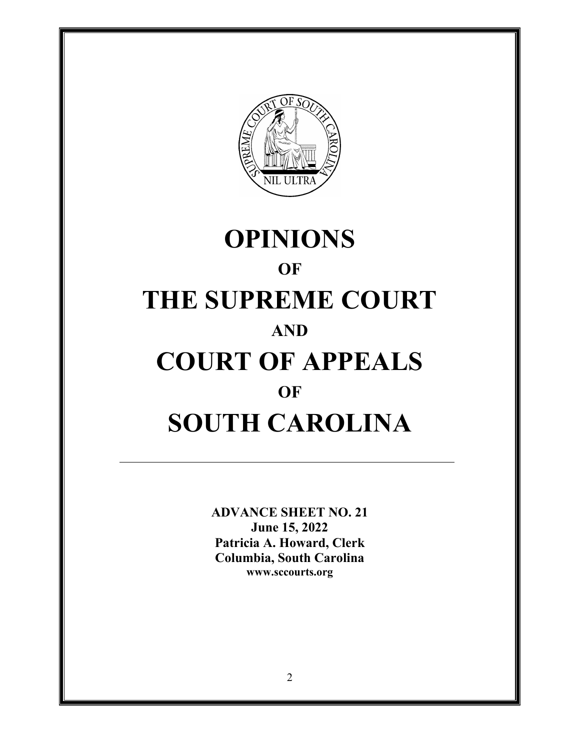

# **OPINIONS OF THE SUPREME COURT AND COURT OF APPEALS OF SOUTH CAROLINA**

**ADVANCE SHEET NO. 21 June 15, 2022 Patricia A. Howard, Clerk Columbia, South Carolina <www.sccourts.org>**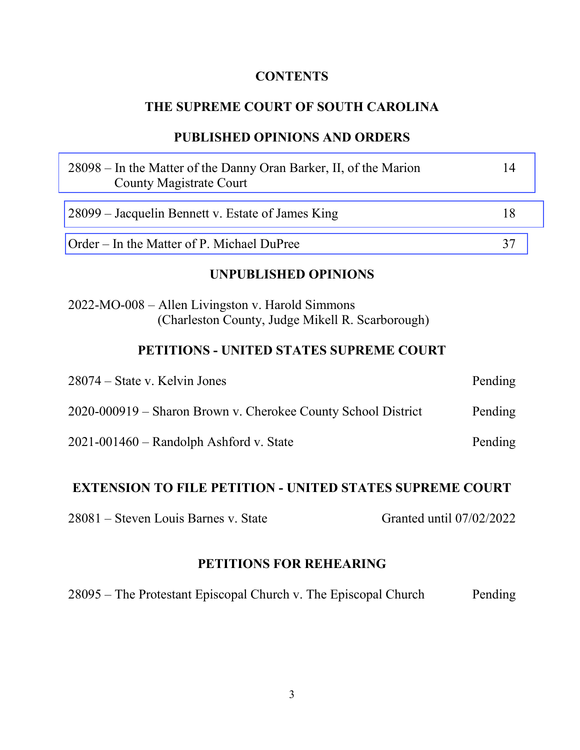# **CONTENTS**

# **THE SUPREME COURT OF SOUTH CAROLINA**

# **PUBLISHED OPINIONS AND ORDERS**

| 28098 – In the Matter of the Danny Oran Barker, II, of the Marion<br>County Magistrate Court         | 14      |  |
|------------------------------------------------------------------------------------------------------|---------|--|
| 28099 – Jacquelin Bennett v. Estate of James King                                                    | 18      |  |
| Order – In the Matter of P. Michael DuPree                                                           | 37      |  |
| <b>UNPUBLISHED OPINIONS</b>                                                                          |         |  |
| 2022-MO-008 – Allen Livingston v. Harold Simmons<br>(Charleston County, Judge Mikell R. Scarborough) |         |  |
| PETITIONS - UNITED STATES SUPREME COURT                                                              |         |  |
| 28074 – State v. Kelvin Jones                                                                        | Pending |  |
| 2020-000919 – Sharon Brown v. Cherokee County School District                                        | Pending |  |
| $2021 - 001460$ – Randolph Ashford v. State                                                          | Pending |  |
| EVTENCION TO EII E DETITION – HNITED CT LTEC CHDDEME COHDT                                           |         |  |

#### **EXTENSION TO FILE PETITION - UNITED STATES SUPREME COURT**

28081 – Steven Louis Barnes v. State Granted until 07/02/2022

# **PETITIONS FOR REHEARING**

28095 – The Protestant Episcopal Church v. The Episcopal Church Pending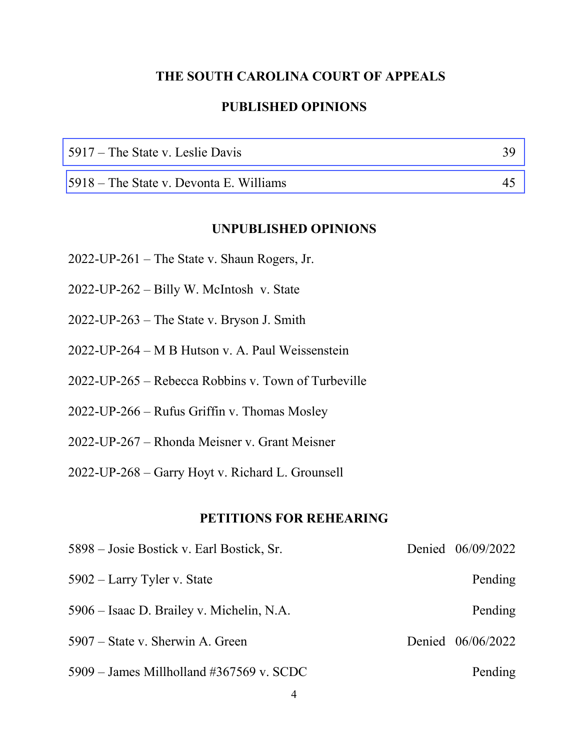## **THE SOUTH CAROLINA COURT OF APPEALS**

#### **PUBLISHED OPINIONS**

| $5917$ – The State v. Leslie Davis      |  |
|-----------------------------------------|--|
| 5918 – The State v. Devonta E. Williams |  |

#### **UNPUBLISHED OPINIONS**

- 2022-UP-261 The State v. Shaun Rogers, Jr.
- 2022-UP-262 Billy W. McIntosh v. State
- 2022-UP-263 The State v. Bryson J. Smith
- 2022-UP-264 M B Hutson v. A. Paul Weissenstein
- 2022-UP-265 Rebecca Robbins v. Town of Turbeville
- 2022-UP-266 Rufus Griffin v. Thomas Mosley
- 2022-UP-267 Rhonda Meisner v. Grant Meisner
- 2022-UP-268 Garry Hoyt v. Richard L. Grounsell

#### **PETITIONS FOR REHEARING**

| 5898 – Josie Bostick v. Earl Bostick, Sr.  | Denied 06/09/2022 |
|--------------------------------------------|-------------------|
| 5902 – Larry Tyler v. State                | Pending           |
| 5906 – Isaac D. Brailey v. Michelin, N.A.  | Pending           |
| 5907 – State v. Sherwin A. Green           | Denied 06/06/2022 |
| $5909$ – James Millholland #367569 v. SCDC | Pending           |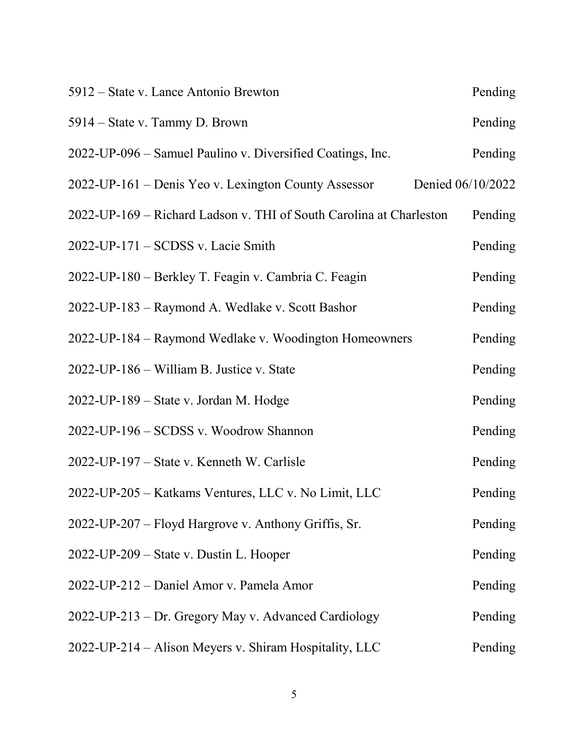| 5912 – State v. Lance Antonio Brewton                               | Pending           |
|---------------------------------------------------------------------|-------------------|
| 5914 – State v. Tammy D. Brown                                      | Pending           |
| 2022-UP-096 – Samuel Paulino v. Diversified Coatings, Inc.          | Pending           |
| 2022-UP-161 – Denis Yeo v. Lexington County Assessor                | Denied 06/10/2022 |
| 2022-UP-169 - Richard Ladson v. THI of South Carolina at Charleston | Pending           |
| 2022-UP-171 – SCDSS v. Lacie Smith                                  | Pending           |
| 2022-UP-180 - Berkley T. Feagin v. Cambria C. Feagin                | Pending           |
| 2022-UP-183 – Raymond A. Wedlake v. Scott Bashor                    | Pending           |
| 2022-UP-184 – Raymond Wedlake v. Woodington Homeowners              | Pending           |
| 2022-UP-186 – William B. Justice v. State                           | Pending           |
| 2022-UP-189 – State v. Jordan M. Hodge                              | Pending           |
| 2022-UP-196 – SCDSS v. Woodrow Shannon                              | Pending           |
| 2022-UP-197 – State v. Kenneth W. Carlisle                          | Pending           |
| 2022-UP-205 - Katkams Ventures, LLC v. No Limit, LLC                | Pending           |
| 2022-UP-207 – Floyd Hargrove v. Anthony Griffis, Sr.                | Pending           |
| 2022-UP-209 - State v. Dustin L. Hooper                             | Pending           |
| 2022-UP-212 - Daniel Amor v. Pamela Amor                            | Pending           |
| 2022-UP-213 – Dr. Gregory May v. Advanced Cardiology                | Pending           |
| 2022-UP-214 - Alison Meyers v. Shiram Hospitality, LLC              | Pending           |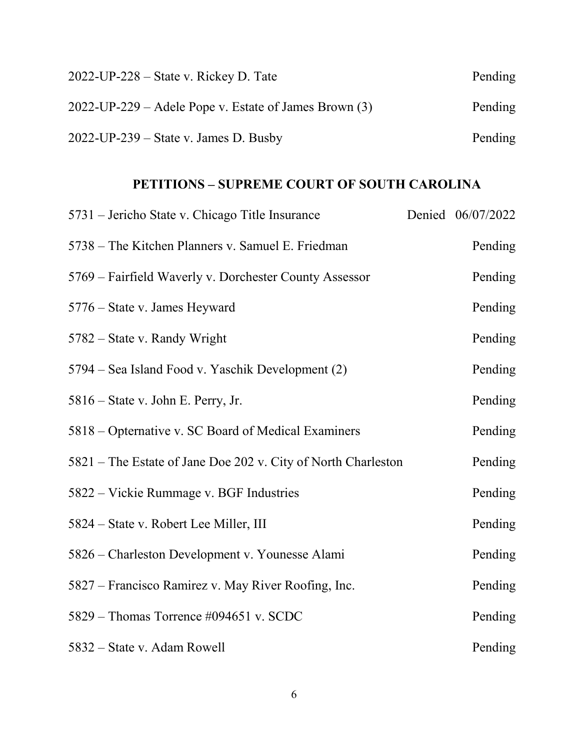| $2022$ -UP-228 – State v. Rickey D. Tate                   | Pending |
|------------------------------------------------------------|---------|
| $2022$ -UP-229 – Adele Pope v. Estate of James Brown $(3)$ | Pending |
| $2022$ -UP-239 – State v. James D. Busby                   | Pending |

# **PETITIONS – SUPREME COURT OF SOUTH CAROLINA**

| 5731 – Jericho State v. Chicago Title Insurance               | Denied 06/07/2022 |  |
|---------------------------------------------------------------|-------------------|--|
| 5738 – The Kitchen Planners v. Samuel E. Friedman             | Pending           |  |
| 5769 – Fairfield Waverly v. Dorchester County Assessor        | Pending           |  |
| 5776 – State v. James Heyward                                 | Pending           |  |
| 5782 – State v. Randy Wright                                  | Pending           |  |
| 5794 – Sea Island Food v. Yaschik Development (2)             | Pending           |  |
| 5816 – State v. John E. Perry, Jr.                            | Pending           |  |
| 5818 – Opternative v. SC Board of Medical Examiners           | Pending           |  |
| 5821 – The Estate of Jane Doe 202 v. City of North Charleston | Pending           |  |
| 5822 – Vickie Rummage v. BGF Industries                       | Pending           |  |
| 5824 – State v. Robert Lee Miller, III                        | Pending           |  |
| 5826 – Charleston Development v. Younesse Alami               | Pending           |  |
| 5827 – Francisco Ramirez v. May River Roofing, Inc.           | Pending           |  |
| 5829 – Thomas Torrence #094651 v. SCDC                        | Pending           |  |
| 5832 – State v. Adam Rowell                                   | Pending           |  |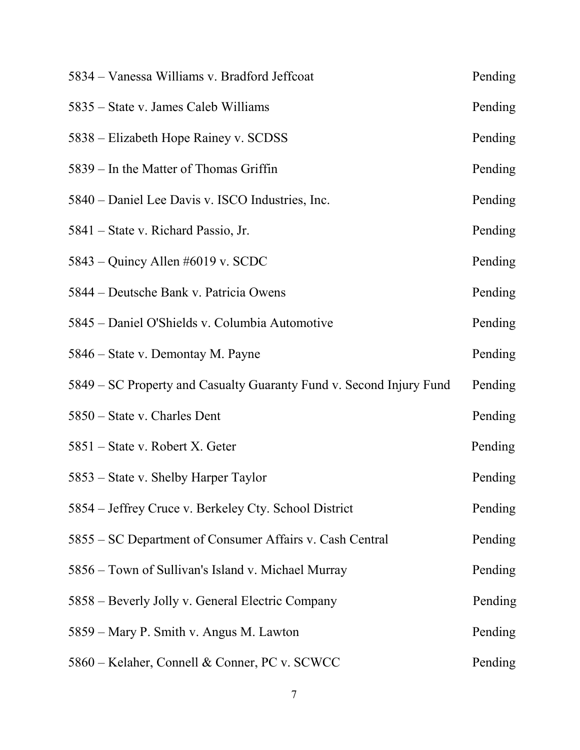| 5834 – Vanessa Williams v. Bradford Jeffcoat                        | Pending |
|---------------------------------------------------------------------|---------|
| 5835 – State v. James Caleb Williams                                | Pending |
| 5838 – Elizabeth Hope Rainey v. SCDSS                               | Pending |
| 5839 – In the Matter of Thomas Griffin                              | Pending |
| 5840 – Daniel Lee Davis v. ISCO Industries, Inc.                    | Pending |
| 5841 – State v. Richard Passio, Jr.                                 | Pending |
| 5843 – Quincy Allen #6019 v. SCDC                                   | Pending |
| 5844 – Deutsche Bank v. Patricia Owens                              | Pending |
| 5845 - Daniel O'Shields v. Columbia Automotive                      | Pending |
| 5846 – State v. Demontay M. Payne                                   | Pending |
| 5849 – SC Property and Casualty Guaranty Fund v. Second Injury Fund | Pending |
| 5850 – State v. Charles Dent                                        | Pending |
| 5851 – State v. Robert X. Geter                                     | Pending |
| 5853 – State v. Shelby Harper Taylor                                | Pending |
| 5854 – Jeffrey Cruce v. Berkeley Cty. School District               | Pending |
| 5855 – SC Department of Consumer Affairs v. Cash Central            | Pending |
| 5856 – Town of Sullivan's Island v. Michael Murray                  | Pending |
| 5858 – Beverly Jolly v. General Electric Company                    | Pending |
| 5859 – Mary P. Smith v. Angus M. Lawton                             | Pending |
| 5860 – Kelaher, Connell & Conner, PC v. SCWCC                       | Pending |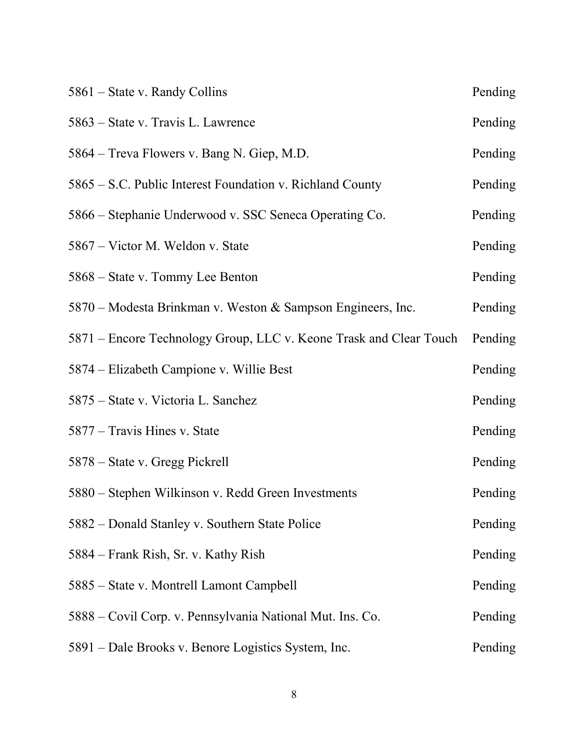| 5861 – State v. Randy Collins                                      | Pending |
|--------------------------------------------------------------------|---------|
| 5863 – State v. Travis L. Lawrence                                 | Pending |
| 5864 – Treva Flowers v. Bang N. Giep, M.D.                         | Pending |
| 5865 – S.C. Public Interest Foundation v. Richland County          | Pending |
| 5866 – Stephanie Underwood v. SSC Seneca Operating Co.             | Pending |
| 5867 – Victor M. Weldon v. State                                   | Pending |
| 5868 – State v. Tommy Lee Benton                                   | Pending |
| 5870 – Modesta Brinkman v. Weston & Sampson Engineers, Inc.        | Pending |
| 5871 – Encore Technology Group, LLC v. Keone Trask and Clear Touch | Pending |
| 5874 – Elizabeth Campione v. Willie Best                           | Pending |
| 5875 – State v. Victoria L. Sanchez                                | Pending |
| 5877 – Travis Hines v. State                                       | Pending |
| 5878 – State v. Gregg Pickrell                                     | Pending |
| 5880 - Stephen Wilkinson v. Redd Green Investments                 | Pending |
| 5882 – Donald Stanley v. Southern State Police                     | Pending |
| 5884 – Frank Rish, Sr. v. Kathy Rish                               | Pending |
| 5885 – State v. Montrell Lamont Campbell                           | Pending |
| 5888 – Covil Corp. v. Pennsylvania National Mut. Ins. Co.          | Pending |
| 5891 – Dale Brooks v. Benore Logistics System, Inc.                | Pending |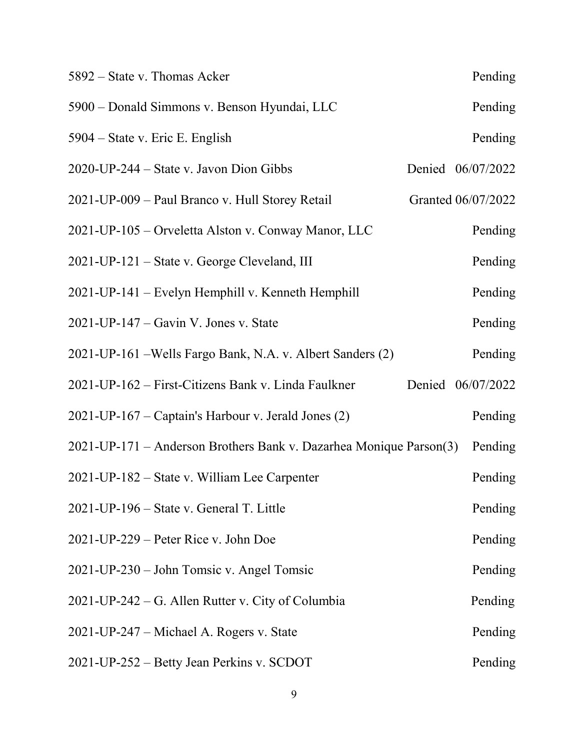| 5892 – State v. Thomas Acker                                       | Pending            |
|--------------------------------------------------------------------|--------------------|
| 5900 – Donald Simmons v. Benson Hyundai, LLC                       | Pending            |
| 5904 – State v. Eric E. English                                    | Pending            |
| $2020$ -UP-244 – State v. Javon Dion Gibbs                         | Denied 06/07/2022  |
| 2021-UP-009 – Paul Branco v. Hull Storey Retail                    | Granted 06/07/2022 |
| 2021-UP-105 – Orveletta Alston v. Conway Manor, LLC                | Pending            |
| 2021-UP-121 – State v. George Cleveland, III                       | Pending            |
| 2021-UP-141 – Evelyn Hemphill v. Kenneth Hemphill                  | Pending            |
| $2021$ -UP-147 – Gavin V. Jones v. State                           | Pending            |
| 2021-UP-161 - Wells Fargo Bank, N.A. v. Albert Sanders (2)         | Pending            |
| 2021-UP-162 – First-Citizens Bank v. Linda Faulkner                | Denied 06/07/2022  |
| $2021$ -UP-167 – Captain's Harbour v. Jerald Jones (2)             | Pending            |
| 2021-UP-171 – Anderson Brothers Bank v. Dazarhea Monique Parson(3) | Pending            |
| 2021-UP-182 – State v. William Lee Carpenter                       | Pending            |
| 2021-UP-196 – State v. General T. Little                           | Pending            |
| $2021$ -UP-229 – Peter Rice v. John Doe                            | Pending            |
| 2021-UP-230 – John Tomsic v. Angel Tomsic                          | Pending            |
| 2021-UP-242 – G. Allen Rutter v. City of Columbia                  | Pending            |
| 2021-UP-247 – Michael A. Rogers v. State                           | Pending            |
| 2021-UP-252 – Betty Jean Perkins v. SCDOT                          | Pending            |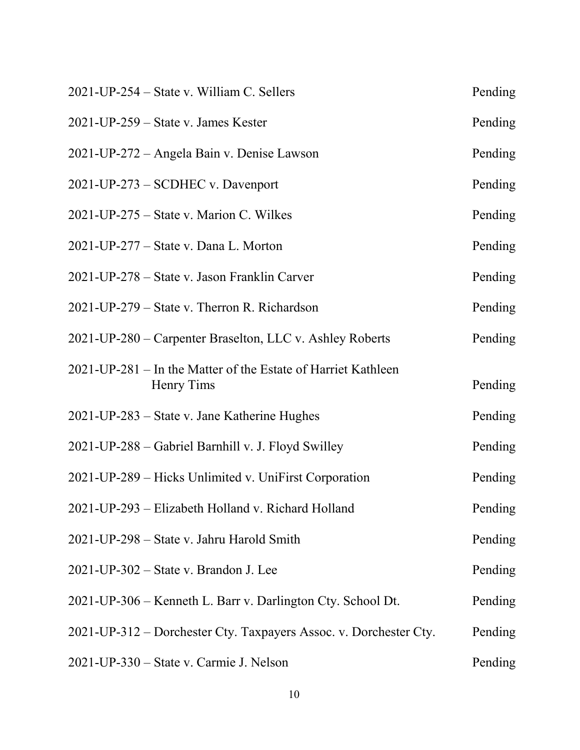| 2021-UP-254 – State v. William C. Sellers                                   | Pending |
|-----------------------------------------------------------------------------|---------|
| $2021$ -UP-259 – State v. James Kester                                      | Pending |
| 2021-UP-272 – Angela Bain v. Denise Lawson                                  | Pending |
| 2021-UP-273 – SCDHEC v. Davenport                                           | Pending |
| 2021-UP-275 – State v. Marion C. Wilkes                                     | Pending |
| $2021$ -UP-277 – State v. Dana L. Morton                                    | Pending |
| 2021-UP-278 – State v. Jason Franklin Carver                                | Pending |
| 2021-UP-279 – State v. Therron R. Richardson                                | Pending |
| 2021-UP-280 – Carpenter Braselton, LLC v. Ashley Roberts                    | Pending |
| 2021-UP-281 – In the Matter of the Estate of Harriet Kathleen<br>Henry Tims | Pending |
| 2021-UP-283 – State v. Jane Katherine Hughes                                | Pending |
| 2021-UP-288 - Gabriel Barnhill v. J. Floyd Swilley                          | Pending |
| 2021-UP-289 – Hicks Unlimited v. UniFirst Corporation                       | Pending |
| 2021-UP-293 – Elizabeth Holland v. Richard Holland                          | Pending |
| 2021-UP-298 – State v. Jahru Harold Smith                                   | Pending |
| $2021$ -UP-302 – State v. Brandon J. Lee                                    | Pending |
| 2021-UP-306 – Kenneth L. Barr v. Darlington Cty. School Dt.                 | Pending |
| 2021-UP-312 – Dorchester Cty. Taxpayers Assoc. v. Dorchester Cty.           | Pending |
| 2021-UP-330 – State v. Carmie J. Nelson                                     | Pending |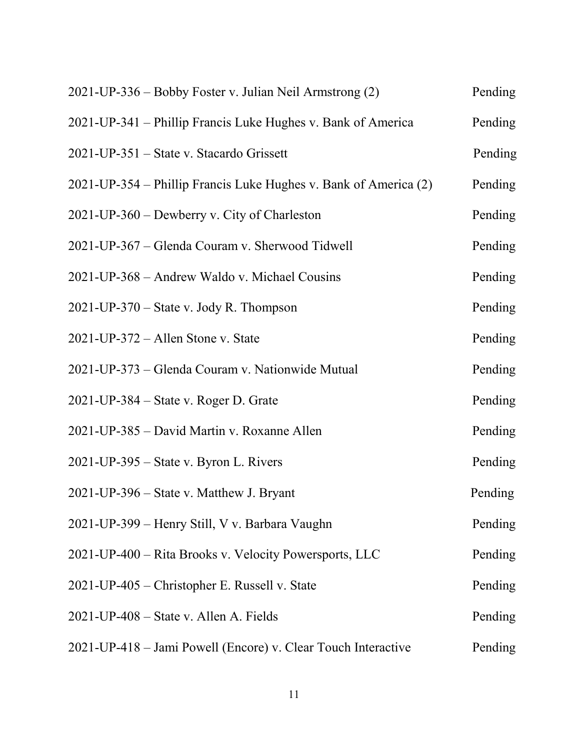| 2021-UP-336 – Bobby Foster v. Julian Neil Armstrong (2)          | Pending |
|------------------------------------------------------------------|---------|
| 2021-UP-341 – Phillip Francis Luke Hughes v. Bank of America     | Pending |
| 2021-UP-351 – State v. Stacardo Grissett                         | Pending |
| 2021-UP-354 – Phillip Francis Luke Hughes v. Bank of America (2) | Pending |
| 2021-UP-360 – Dewberry v. City of Charleston                     | Pending |
| 2021-UP-367 – Glenda Couram v. Sherwood Tidwell                  | Pending |
| 2021-UP-368 – Andrew Waldo v. Michael Cousins                    | Pending |
| $2021$ -UP-370 – State v. Jody R. Thompson                       | Pending |
| 2021-UP-372 - Allen Stone v. State                               | Pending |
| 2021-UP-373 – Glenda Couram v. Nationwide Mutual                 | Pending |
| $2021$ -UP-384 – State v. Roger D. Grate                         | Pending |
| 2021-UP-385 – David Martin v. Roxanne Allen                      | Pending |
| 2021-UP-395 – State v. Byron L. Rivers                           | Pending |
| 2021-UP-396 – State v. Matthew J. Bryant                         | Pending |
| 2021-UP-399 - Henry Still, V v. Barbara Vaughn                   | Pending |
| 2021-UP-400 – Rita Brooks v. Velocity Powersports, LLC           | Pending |
| 2021-UP-405 – Christopher E. Russell v. State                    | Pending |
| 2021-UP-408 – State v. Allen A. Fields                           | Pending |
| 2021-UP-418 – Jami Powell (Encore) v. Clear Touch Interactive    | Pending |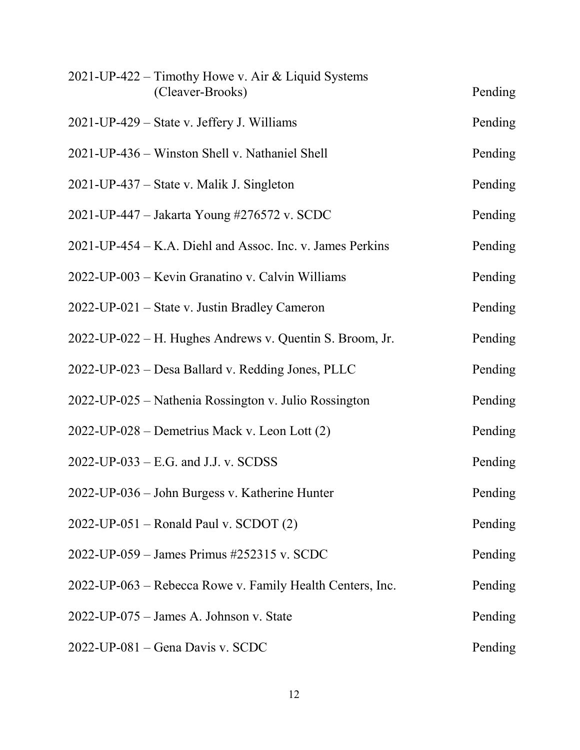| 2021-UP-422 – Timothy Howe v. Air & Liquid Systems        |         |
|-----------------------------------------------------------|---------|
| (Cleaver-Brooks)                                          | Pending |
| 2021-UP-429 – State v. Jeffery J. Williams                | Pending |
| 2021-UP-436 – Winston Shell v. Nathaniel Shell            | Pending |
| 2021-UP-437 – State v. Malik J. Singleton                 | Pending |
| 2021-UP-447 – Jakarta Young #276572 v. SCDC               | Pending |
| 2021-UP-454 – K.A. Diehl and Assoc. Inc. v. James Perkins | Pending |
| 2022-UP-003 - Kevin Granatino v. Calvin Williams          | Pending |
| 2022-UP-021 – State v. Justin Bradley Cameron             | Pending |
| 2022-UP-022 – H. Hughes Andrews v. Quentin S. Broom, Jr.  | Pending |
| 2022-UP-023 - Desa Ballard v. Redding Jones, PLLC         | Pending |
| 2022-UP-025 – Nathenia Rossington v. Julio Rossington     | Pending |
| 2022-UP-028 – Demetrius Mack v. Leon Lott (2)             | Pending |
| $2022$ -UP-033 – E.G. and J.J. v. SCDSS                   | Pending |
| 2022-UP-036 - John Burgess v. Katherine Hunter            | Pending |
| $2022$ -UP-051 – Ronald Paul v. SCDOT $(2)$               | Pending |
| 2022-UP-059 – James Primus #252315 v. SCDC                | Pending |
| 2022-UP-063 – Rebecca Rowe v. Family Health Centers, Inc. | Pending |
| 2022-UP-075 - James A. Johnson v. State                   | Pending |
| 2022-UP-081 - Gena Davis v. SCDC                          | Pending |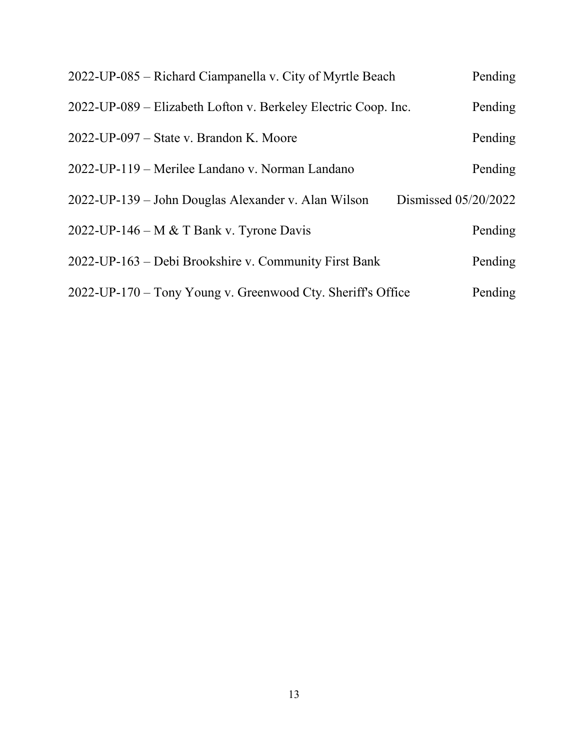| 2022-UP-085 – Richard Ciampanella v. City of Myrtle Beach                   | Pending |
|-----------------------------------------------------------------------------|---------|
| 2022-UP-089 – Elizabeth Lofton v. Berkeley Electric Coop. Inc.              | Pending |
| $2022$ -UP-097 – State v. Brandon K. Moore                                  | Pending |
| 2022-UP-119 – Merilee Landano v. Norman Landano                             | Pending |
| Dismissed 05/20/2022<br>2022-UP-139 – John Douglas Alexander v. Alan Wilson |         |
| 2022-UP-146 – M & T Bank v. Tyrone Davis                                    | Pending |
| 2022-UP-163 – Debi Brookshire v. Community First Bank                       | Pending |
| 2022-UP-170 – Tony Young v. Greenwood Cty. Sheriff's Office                 | Pending |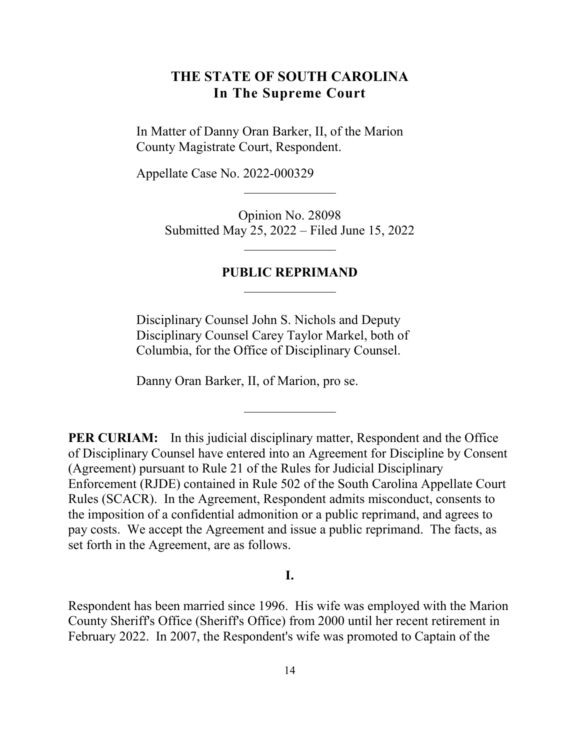# <span id="page-13-0"></span>**THE STATE OF SOUTH CAROLINA In The Supreme Court**

In Matter of Danny Oran Barker, II, of the Marion County Magistrate Court, Respondent.

Appellate Case No. 2022-000329

Opinion No. 28098 Submitted May 25, 2022 – Filed June 15, 2022

#### **PUBLIC REPRIMAND**

Disciplinary Counsel John S. Nichols and Deputy Disciplinary Counsel Carey Taylor Markel, both of Columbia, for the Office of Disciplinary Counsel.

Danny Oran Barker, II, of Marion, pro se.

**PER CURIAM:** In this judicial disciplinary matter, Respondent and the Office of Disciplinary Counsel have entered into an Agreement for Discipline by Consent (Agreement) pursuant to Rule 21 of the Rules for Judicial Disciplinary Enforcement (RJDE) contained in Rule 502 of the South Carolina Appellate Court Rules (SCACR). In the Agreement, Respondent admits misconduct, consents to the imposition of a confidential admonition or a public reprimand, and agrees to pay costs. We accept the Agreement and issue a public reprimand. The facts, as set forth in the Agreement, are as follows.

#### **I.**

Respondent has been married since 1996. His wife was employed with the Marion County Sheriff's Office (Sheriff's Office) from 2000 until her recent retirement in February 2022. In 2007, the Respondent's wife was promoted to Captain of the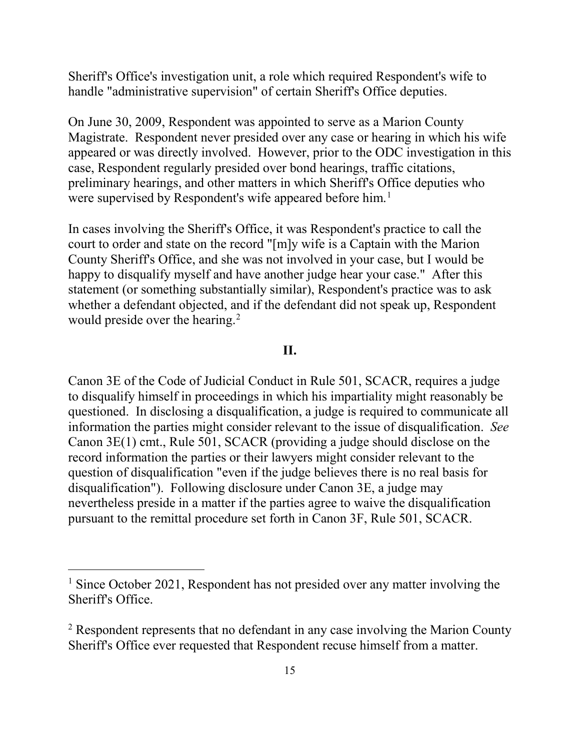Sheriff's Office's investigation unit, a role which required Respondent's wife to handle "administrative supervision" of certain Sheriff's Office deputies.

On June 30, 2009, Respondent was appointed to serve as a Marion County Magistrate. Respondent never presided over any case or hearing in which his wife appeared or was directly involved. However, prior to the ODC investigation in this case, Respondent regularly presided over bond hearings, traffic citations, preliminary hearings, and other matters in which Sheriff's Office deputies who were supervised by Respondent's wife appeared before him.<sup>[1](#page-14-0)</sup>

In cases involving the Sheriff's Office, it was Respondent's practice to call the court to order and state on the record "[m]y wife is a Captain with the Marion County Sheriff's Office, and she was not involved in your case, but I would be happy to disqualify myself and have another judge hear your case." After this statement (or something substantially similar), Respondent's practice was to ask whether a defendant objected, and if the defendant did not speak up, Respondent would preside over the hearing.<sup>2</sup>

#### **II.**

Canon 3E of the Code of Judicial Conduct in Rule 501, SCACR, requires a judge to disqualify himself in proceedings in which his impartiality might reasonably be questioned. In disclosing a disqualification, a judge is required to communicate all information the parties might consider relevant to the issue of disqualification. *See*  Canon 3E(1) cmt., Rule 501, SCACR (providing a judge should disclose on the record information the parties or their lawyers might consider relevant to the question of disqualification "even if the judge believes there is no real basis for disqualification"). Following disclosure under Canon 3E, a judge may nevertheless preside in a matter if the parties agree to waive the disqualification pursuant to the remittal procedure set forth in Canon 3F, Rule 501, SCACR.

<span id="page-14-0"></span><sup>&</sup>lt;sup>1</sup> Since October 2021, Respondent has not presided over any matter involving the Sheriff's Office.

<span id="page-14-1"></span> $2$  Respondent represents that no defendant in any case involving the Marion County Sheriff's Office ever requested that Respondent recuse himself from a matter.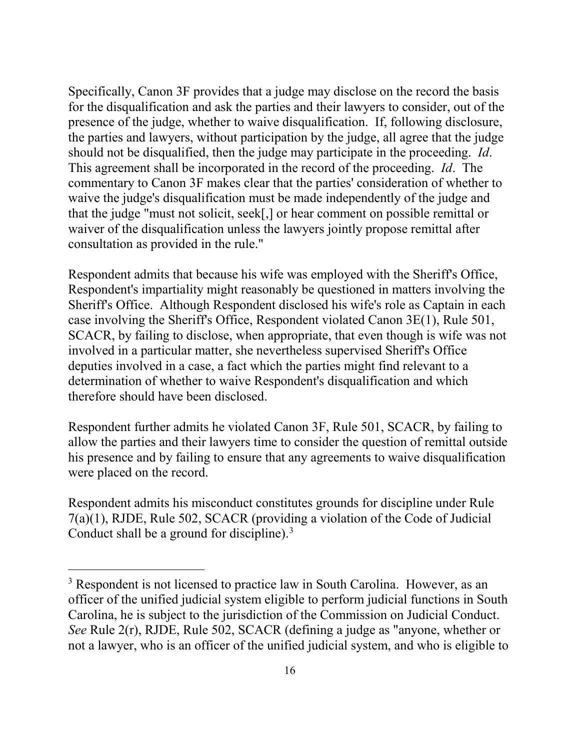Specifically, Canon 3F provides that a judge may disclose on the record the basis for the disqualification and ask the parties and their lawyers to consider, out of the presence of the judge, whether to waive disqualification. If, following disclosure, the parties and lawyers, without participation by the judge, all agree that the judge should not be disqualified, then the judge may participate in the proceeding. *Id*. This agreement shall be incorporated in the record of the proceeding. *Id*. The commentary to Canon 3F makes clear that the parties' consideration of whether to waive the judge's disqualification must be made independently of the judge and that the judge "must not solicit, seek[,] or hear comment on possible remittal or waiver of the disqualification unless the lawyers jointly propose remittal after consultation as provided in the rule."

Respondent admits that because his wife was employed with the Sheriff's Office, Respondent's impartiality might reasonably be questioned in matters involving the Sheriff's Office. Although Respondent disclosed his wife's role as Captain in each case involving the Sheriff's Office, Respondent violated Canon 3E(1), Rule 501, SCACR, by failing to disclose, when appropriate, that even though is wife was not involved in a particular matter, she nevertheless supervised Sheriff's Office deputies involved in a case, a fact which the parties might find relevant to a determination of whether to waive Respondent's disqualification and which therefore should have been disclosed.

Respondent further admits he violated Canon 3F, Rule 501, SCACR, by failing to allow the parties and their lawyers time to consider the question of remittal outside his presence and by failing to ensure that any agreements to waive disqualification were placed on the record.

Respondent admits his misconduct constitutes grounds for discipline under Rule 7(a)(1), RJDE, Rule 502, SCACR (providing a violation of the Code of Judicial Conduct shall be a ground for discipline). $3$ 

<span id="page-15-0"></span><sup>&</sup>lt;sup>3</sup> Respondent is not licensed to practice law in South Carolina. However, as an officer of the unified judicial system eligible to perform judicial functions in South Carolina, he is subject to the jurisdiction of the Commission on Judicial Conduct. *See* Rule 2(r), RJDE, Rule 502, SCACR (defining a judge as "anyone, whether or not a lawyer, who is an officer of the unified judicial system, and who is eligible to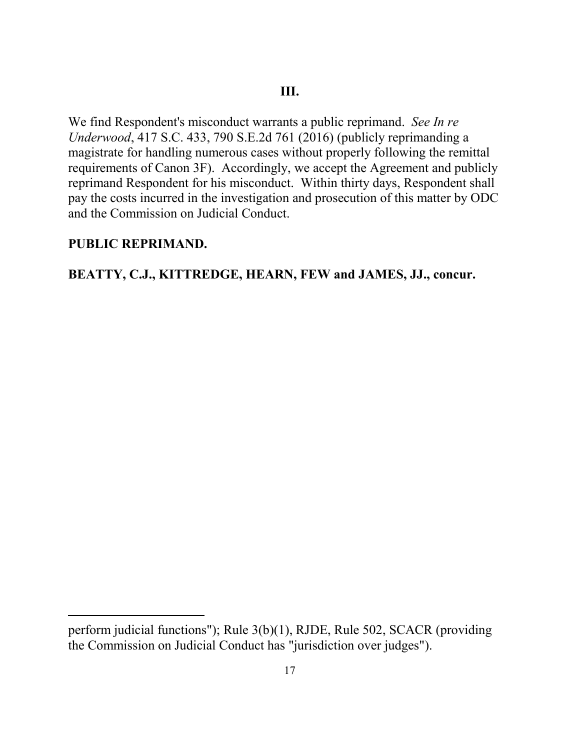We find Respondent's misconduct warrants a public reprimand. *See In re Underwood*, 417 S.C. 433, 790 S.E.2d 761 (2016) (publicly reprimanding a magistrate for handling numerous cases without properly following the remittal requirements of Canon 3F). Accordingly, we accept the Agreement and publicly reprimand Respondent for his misconduct. Within thirty days, Respondent shall pay the costs incurred in the investigation and prosecution of this matter by ODC and the Commission on Judicial Conduct.

# **PUBLIC REPRIMAND.**

 $\overline{a}$ 

# **BEATTY, C.J., KITTREDGE, HEARN, FEW and JAMES, JJ., concur.**

perform judicial functions"); Rule 3(b)(1), RJDE, Rule 502, SCACR (providing the Commission on Judicial Conduct has "jurisdiction over judges").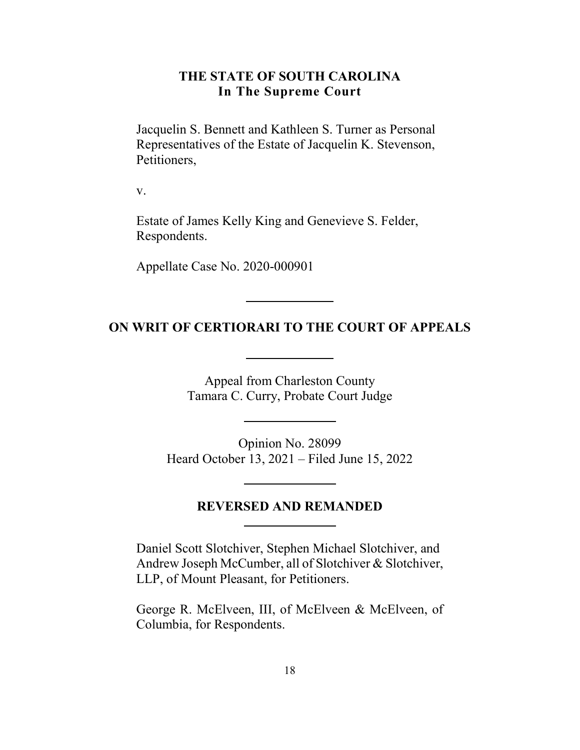#### **THE STATE OF SOUTH CAROLINA In The Supreme Court**

<span id="page-17-0"></span>Jacquelin S. Bennett and Kathleen S. Turner as Personal Representatives of the Estate of Jacquelin K. Stevenson, Petitioners,

v.

Estate of James Kelly King and Genevieve S. Felder, Respondents.

Appellate Case No. 2020-000901

#### **ON WRIT OF CERTIORARI TO THE COURT OF APPEALS**

Appeal from Charleston County Tamara C. Curry, Probate Court Judge

Opinion No. 28099 Heard October 13, 2021 – Filed June 15, 2022

#### **REVERSED AND REMANDED**

Daniel Scott Slotchiver, Stephen Michael Slotchiver, and Andrew Joseph McCumber, all of Slotchiver & Slotchiver, LLP, of Mount Pleasant, for Petitioners.

George R. McElveen, III, of McElveen & McElveen, of Columbia, for Respondents.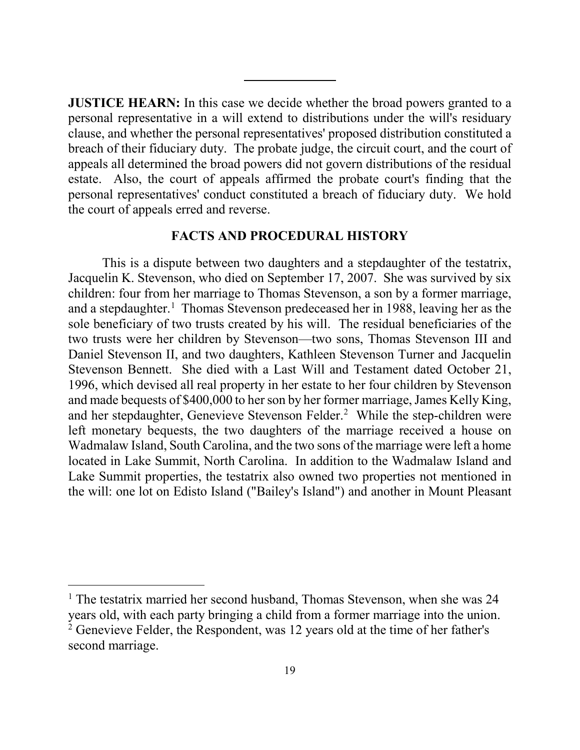**JUSTICE HEARN:** In this case we decide whether the broad powers granted to a personal representative in a will extend to distributions under the will's residuary clause, and whether the personal representatives' proposed distribution constituted a breach of their fiduciary duty. The probate judge, the circuit court, and the court of appeals all determined the broad powers did not govern distributions of the residual estate. Also, the court of appeals affirmed the probate court's finding that the personal representatives' conduct constituted a breach of fiduciary duty. We hold the court of appeals erred and reverse.

#### **FACTS AND PROCEDURAL HISTORY**

This is a dispute between two daughters and a stepdaughter of the testatrix, Jacquelin K. Stevenson, who died on September 17, 2007. She was survived by six children: four from her marriage to Thomas Stevenson, a son by a former marriage, and a stepdaughter.<sup>1</sup> Thomas Stevenson predeceased her in 1988, leaving her as the sole beneficiary of two trusts created by his will. The residual beneficiaries of the two trusts were her children by Stevenson—two sons, Thomas Stevenson III and Daniel Stevenson II, and two daughters, Kathleen Stevenson Turner and Jacquelin Stevenson Bennett. She died with a Last Will and Testament dated October 21, 1996, which devised all real property in her estate to her four children by Stevenson and made bequests of \$400,000 to her son by her former marriage, James Kelly King, and her stepdaughter, Genevieve Stevenson Felder.<sup>2</sup> While the step-children were left monetary bequests, the two daughters of the marriage received a house on Wadmalaw Island, South Carolina, and the two sons of the marriage were left a home located in Lake Summit, North Carolina. In addition to the Wadmalaw Island and Lake Summit properties, the testatrix also owned two properties not mentioned in the will: one lot on Edisto Island ("Bailey's Island") and another in Mount Pleasant

<span id="page-18-1"></span><span id="page-18-0"></span><sup>&</sup>lt;sup>1</sup> The testatrix married her second husband, Thomas Stevenson, when she was 24 years old, with each party bringing a child from a former marriage into the union. 2 Genevieve Felder, the Respondent, was 12 years old at the time of her father's second marriage.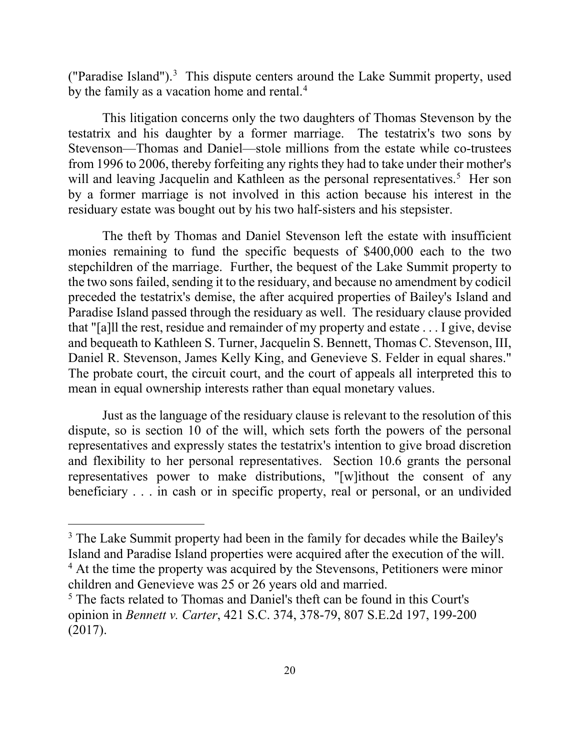("Paradise Island"). $3$  This dispute centers around the Lake Summit property, used by the family as a vacation home and rental.<sup>4</sup>

 This litigation concerns only the two daughters of Thomas Stevenson by the testatrix and his daughter by a former marriage. The testatrix's two sons by Stevenson—Thomas and Daniel—stole millions from the estate while co-trustees from 1996 to 2006, thereby forfeiting any rights they had to take under their mother's will and leaving Jacquelin and Kathleen as the personal representatives.<sup>5</sup> Her son by a former marriage is not involved in this action because his interest in the residuary estate was bought out by his two half-sisters and his stepsister.

The theft by Thomas and Daniel Stevenson left the estate with insufficient monies remaining to fund the specific bequests of \$400,000 each to the two stepchildren of the marriage. Further, the bequest of the Lake Summit property to the two sons failed, sending it to the residuary, and because no amendment by codicil preceded the testatrix's demise, the after acquired properties of Bailey's Island and Paradise Island passed through the residuary as well. The residuary clause provided that "[a]ll the rest, residue and remainder of my property and estate . . . I give, devise and bequeath to Kathleen S. Turner, Jacquelin S. Bennett, Thomas C. Stevenson, III, Daniel R. Stevenson, James Kelly King, and Genevieve S. Felder in equal shares." The probate court, the circuit court, and the court of appeals all interpreted this to mean in equal ownership interests rather than equal monetary values.

Just as the language of the residuary clause is relevant to the resolution of this dispute, so is section 10 of the will, which sets forth the powers of the personal representatives and expressly states the testatrix's intention to give broad discretion and flexibility to her personal representatives. Section 10.6 grants the personal representatives power to make distributions, "[w]ithout the consent of any beneficiary . . . in cash or in specific property, real or personal, or an undivided

<span id="page-19-0"></span> $3$  The Lake Summit property had been in the family for decades while the Bailey's Island and Paradise Island properties were acquired after the execution of the will. 4 At the time the property was acquired by the Stevensons, Petitioners were minor

<span id="page-19-1"></span>children and Genevieve was 25 or 26 years old and married.

<span id="page-19-2"></span><sup>&</sup>lt;sup>5</sup> The facts related to Thomas and Daniel's theft can be found in this Court's opinion in *Bennett v. Carter*, 421 S.C. 374, 378-79, 807 S.E.2d 197, 199-200 (2017).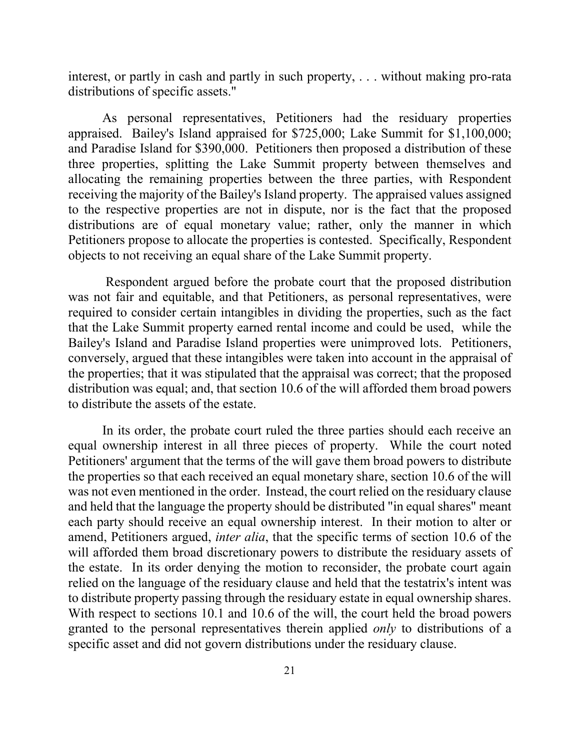interest, or partly in cash and partly in such property, . . . without making pro-rata distributions of specific assets."

As personal representatives, Petitioners had the residuary properties appraised. Bailey's Island appraised for \$725,000; Lake Summit for \$1,100,000; and Paradise Island for \$390,000. Petitioners then proposed a distribution of these three properties, splitting the Lake Summit property between themselves and allocating the remaining properties between the three parties, with Respondent receiving the majority of the Bailey's Island property. The appraised values assigned to the respective properties are not in dispute, nor is the fact that the proposed distributions are of equal monetary value; rather, only the manner in which Petitioners propose to allocate the properties is contested. Specifically, Respondent objects to not receiving an equal share of the Lake Summit property.

 Respondent argued before the probate court that the proposed distribution was not fair and equitable, and that Petitioners, as personal representatives, were required to consider certain intangibles in dividing the properties, such as the fact that the Lake Summit property earned rental income and could be used, while the Bailey's Island and Paradise Island properties were unimproved lots. Petitioners, conversely, argued that these intangibles were taken into account in the appraisal of the properties; that it was stipulated that the appraisal was correct; that the proposed distribution was equal; and, that section 10.6 of the will afforded them broad powers to distribute the assets of the estate.

In its order, the probate court ruled the three parties should each receive an equal ownership interest in all three pieces of property. While the court noted Petitioners' argument that the terms of the will gave them broad powers to distribute the properties so that each received an equal monetary share, section 10.6 of the will was not even mentioned in the order. Instead, the court relied on the residuary clause and held that the language the property should be distributed "in equal shares" meant each party should receive an equal ownership interest. In their motion to alter or amend, Petitioners argued, *inter alia*, that the specific terms of section 10.6 of the will afforded them broad discretionary powers to distribute the residuary assets of the estate. In its order denying the motion to reconsider, the probate court again relied on the language of the residuary clause and held that the testatrix's intent was to distribute property passing through the residuary estate in equal ownership shares. With respect to sections 10.1 and 10.6 of the will, the court held the broad powers granted to the personal representatives therein applied *only* to distributions of a specific asset and did not govern distributions under the residuary clause.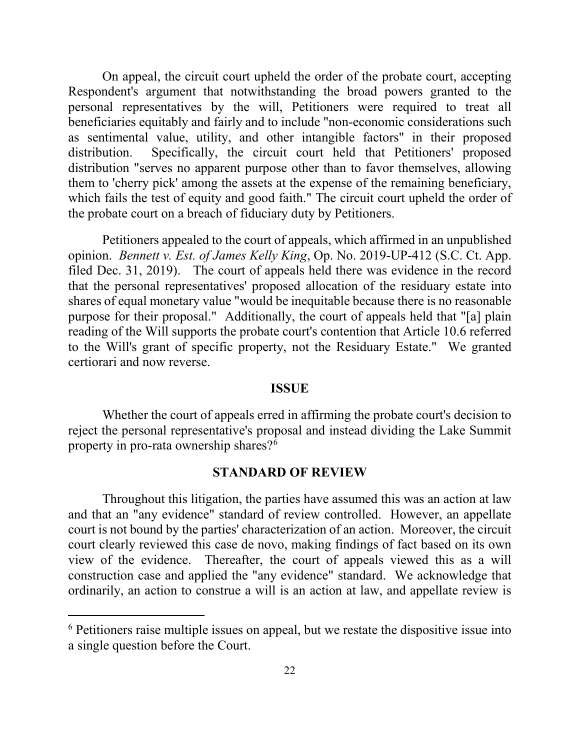On appeal, the circuit court upheld the order of the probate court, accepting Respondent's argument that notwithstanding the broad powers granted to the personal representatives by the will, Petitioners were required to treat all beneficiaries equitably and fairly and to include "non-economic considerations such as sentimental value, utility, and other intangible factors" in their proposed distribution. Specifically, the circuit court held that Petitioners' proposed distribution "serves no apparent purpose other than to favor themselves, allowing them to 'cherry pick' among the assets at the expense of the remaining beneficiary, which fails the test of equity and good faith." The circuit court upheld the order of the probate court on a breach of fiduciary duty by Petitioners.

Petitioners appealed to the court of appeals, which affirmed in an unpublished opinion. *Bennett v. Est. of James Kelly King*, Op. No. 2019-UP-412 (S.C. Ct. App. filed Dec. 31, 2019). The court of appeals held there was evidence in the record that the personal representatives' proposed allocation of the residuary estate into shares of equal monetary value "would be inequitable because there is no reasonable purpose for their proposal." Additionally, the court of appeals held that "[a] plain reading of the Will supports the probate court's contention that Article 10.6 referred to the Will's grant of specific property, not the Residuary Estate." We granted certiorari and now reverse.

#### **ISSUE**

Whether the court of appeals erred in affirming the probate court's decision to reject the personal representative's proposal and instead dividing the Lake Summit property in pro-rata ownership shares?<sup>[6](#page-21-0)</sup>

#### **STANDARD OF REVIEW**

Throughout this litigation, the parties have assumed this was an action at law and that an "any evidence" standard of review controlled. However, an appellate court is not bound by the parties' characterization of an action. Moreover, the circuit court clearly reviewed this case de novo, making findings of fact based on its own view of the evidence. Thereafter, the court of appeals viewed this as a will construction case and applied the "any evidence" standard. We acknowledge that ordinarily, an action to construe a will is an action at law, and appellate review is

<span id="page-21-0"></span><sup>&</sup>lt;sup>6</sup> Petitioners raise multiple issues on appeal, but we restate the dispositive issue into a single question before the Court.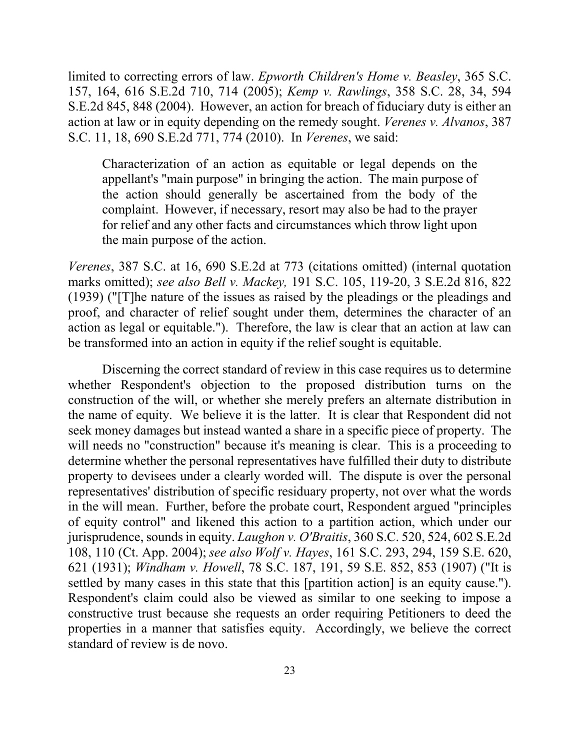S.E.2d 845, 848 (2004). However, an action for breach of fiduciary duty is either an S.C. 11, 18, 690 S.E.2d 771, 774 (2010). In *Verenes*, we said: limited to correcting errors of law. *Epworth Children's Home v. Beasley*, 365 S.C. 157, 164, 616 S.E.2d 710, 714 (2005); *Kemp v. Rawlings*, 358 S.C. 28, 34, 594 action at law or in equity depending on the remedy sought. *Verenes v. Alvanos*, 387

 appellant's "main purpose" in bringing the action. The main purpose of for relief and any other facts and circumstances which throw light upon the main purpose of the action. Characterization of an action as equitable or legal depends on the the action should generally be ascertained from the body of the complaint. However, if necessary, resort may also be had to the prayer

 *Verenes*, 387 S.C. at 16, 690 S.E.2d at 773 (citations omitted) (internal quotation  marks omitted); *see also Bell v. Mackey,* 191 S.C. 105, 119-20, 3 S.E.2d 816, 822 action as legal or equitable."). Therefore, the law is clear that an action at law can be transformed into an action in equity if the relief sought is equitable. (1939) ("[T]he nature of the issues as raised by the pleadings or the pleadings and proof, and character of relief sought under them, determines the character of an

 whether Respondent's objection to the proposed distribution turns on the the name of equity. We believe it is the latter. It is clear that Respondent did not will needs no "construction" because it's meaning is clear. This is a proceeding to property to devisees under a clearly worded will. The dispute is over the personal in the will mean. Further, before the probate court, Respondent argued "principles jurisprudence, sounds in equity. *Laughon v. O'Braitis*, 360 S.C. 520, 524, 602 S.E.2d  621 (1931); *Windham v. Howell*, 78 S.C. 187, 191, 59 S.E. 852, 853 (1907) ("It is settled by many cases in this state that this [partition action] is an equity cause."). constructive trust because she requests an order requiring Petitioners to deed the properties in a manner that satisfies equity. Accordingly, we believe the correct Discerning the correct standard of review in this case requires us to determine. construction of the will, or whether she merely prefers an alternate distribution in seek money damages but instead wanted a share in a specific piece of property. The determine whether the personal representatives have fulfilled their duty to distribute representatives' distribution of specific residuary property, not over what the words of equity control" and likened this action to a partition action, which under our 108, 110 (Ct. App. 2004); *see also Wolf v. Hayes*, 161 S.C. 293, 294, 159 S.E. 620, Respondent's claim could also be viewed as similar to one seeking to impose a standard of review is de novo.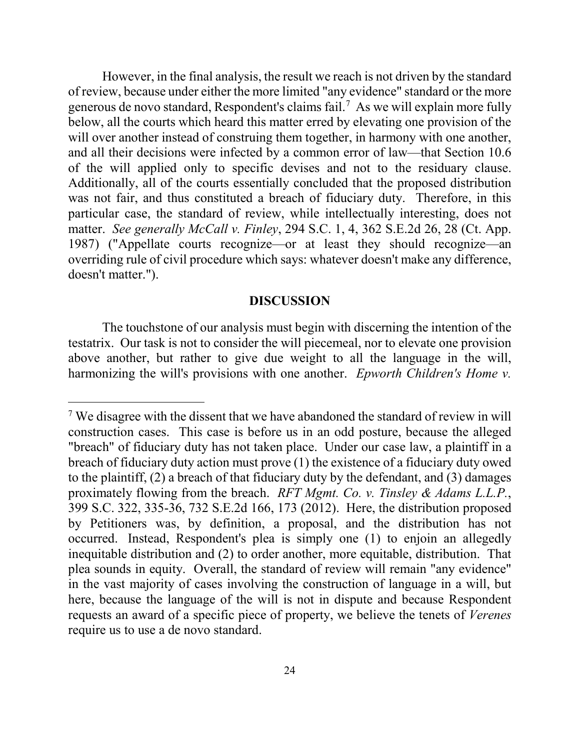However, in the final analysis, the result we reach is not driven by the standard of review, because under either the more limited "any evidence" standard or the more generous de novo standard, Respondent's claims fail.<sup>7</sup> As we will explain more fully below, all the courts which heard this matter erred by elevating one provision of the will over another instead of construing them together, in harmony with one another, and all their decisions were infected by a common error of law—that Section 10.6 of the will applied only to specific devises and not to the residuary clause. Additionally, all of the courts essentially concluded that the proposed distribution was not fair, and thus constituted a breach of fiduciary duty. Therefore, in this particular case, the standard of review, while intellectually interesting, does not matter. *See generally McCall v. Finley*, 294 S.C. 1, 4, 362 S.E.2d 26, 28 (Ct. App. 1987) ("Appellate courts recognize—or at least they should recognize—an overriding rule of civil procedure which says: whatever doesn't make any difference, doesn't matter.").

#### **DISCUSSION**

The touchstone of our analysis must begin with discerning the intention of the testatrix. Our task is not to consider the will piecemeal, nor to elevate one provision above another, but rather to give due weight to all the language in the will, harmonizing the will's provisions with one another. *Epworth Children's Home v.* 

<span id="page-23-0"></span><sup>&</sup>lt;sup>7</sup> We disagree with the dissent that we have abandoned the standard of review in will construction cases. This case is before us in an odd posture, because the alleged "breach" of fiduciary duty has not taken place. Under our case law, a plaintiff in a breach of fiduciary duty action must prove (1) the existence of a fiduciary duty owed to the plaintiff, (2) a breach of that fiduciary duty by the defendant, and (3) damages proximately flowing from the breach. *RFT Mgmt. Co. v. Tinsley & Adams L.L.P.*, 399 S.C. 322, 335-36, 732 S.E.2d 166, 173 (2012). Here, the distribution proposed by Petitioners was, by definition, a proposal, and the distribution has not occurred. Instead, Respondent's plea is simply one (1) to enjoin an allegedly inequitable distribution and (2) to order another, more equitable, distribution. That plea sounds in equity. Overall, the standard of review will remain "any evidence" in the vast majority of cases involving the construction of language in a will, but here, because the language of the will is not in dispute and because Respondent requests an award of a specific piece of property, we believe the tenets of *Verenes*  require us to use a de novo standard.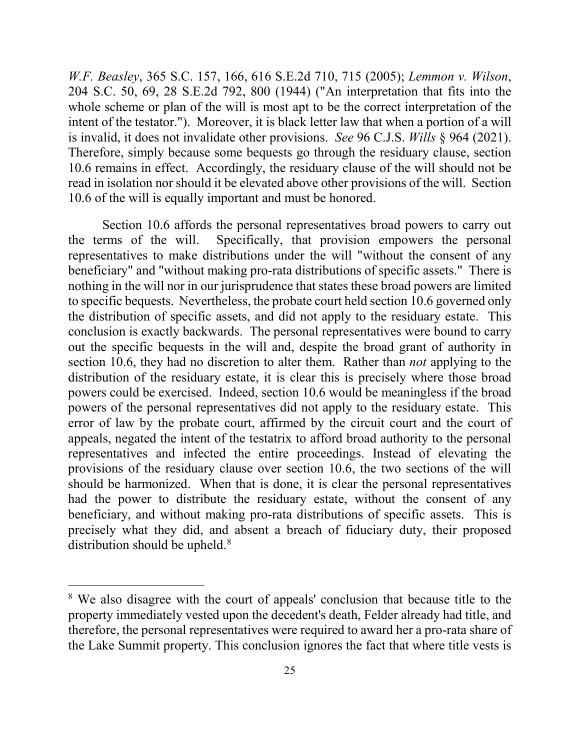*W.F. Beasley*, 365 S.C. 157, 166, 616 S.E.2d 710, 715 (2005); *Lemmon v. Wilson*, 204 S.C. 50, 69, 28 S.E.2d 792, 800 (1944) ("An interpretation that fits into the whole scheme or plan of the will is most apt to be the correct interpretation of the intent of the testator."). Moreover, it is black letter law that when a portion of a will is invalid, it does not invalidate other provisions. *See* 96 C.J.S. *Wills* § 964 (2021). Therefore, simply because some bequests go through the residuary clause, section 10.6 remains in effect. Accordingly, the residuary clause of the will should not be read in isolation nor should it be elevated above other provisions of the will. Section 10.6 of the will is equally important and must be honored.

Section 10.6 affords the personal representatives broad powers to carry out the terms of the will. Specifically, that provision empowers the personal representatives to make distributions under the will "without the consent of any beneficiary" and "without making pro-rata distributions of specific assets." There is nothing in the will nor in our jurisprudence that states these broad powers are limited to specific bequests. Nevertheless, the probate court held section 10.6 governed only the distribution of specific assets, and did not apply to the residuary estate. This conclusion is exactly backwards. The personal representatives were bound to carry out the specific bequests in the will and, despite the broad grant of authority in section 10.6, they had no discretion to alter them. Rather than *not* applying to the distribution of the residuary estate, it is clear this is precisely where those broad powers could be exercised. Indeed, section 10.6 would be meaningless if the broad powers of the personal representatives did not apply to the residuary estate. This error of law by the probate court, affirmed by the circuit court and the court of appeals, negated the intent of the testatrix to afford broad authority to the personal representatives and infected the entire proceedings. Instead of elevating the provisions of the residuary clause over section 10.6, the two sections of the will should be harmonized. When that is done, it is clear the personal representatives had the power to distribute the residuary estate, without the consent of any beneficiary, and without making pro-rata distributions of specific assets. This is precisely what they did, and absent a breach of fiduciary duty, their proposed distribution should be upheld.<sup>[8](#page-24-0)</sup>

<span id="page-24-0"></span><sup>&</sup>lt;sup>8</sup> We also disagree with the court of appeals' conclusion that because title to the property immediately vested upon the decedent's death, Felder already had title, and therefore, the personal representatives were required to award her a pro-rata share of the Lake Summit property. This conclusion ignores the fact that where title vests is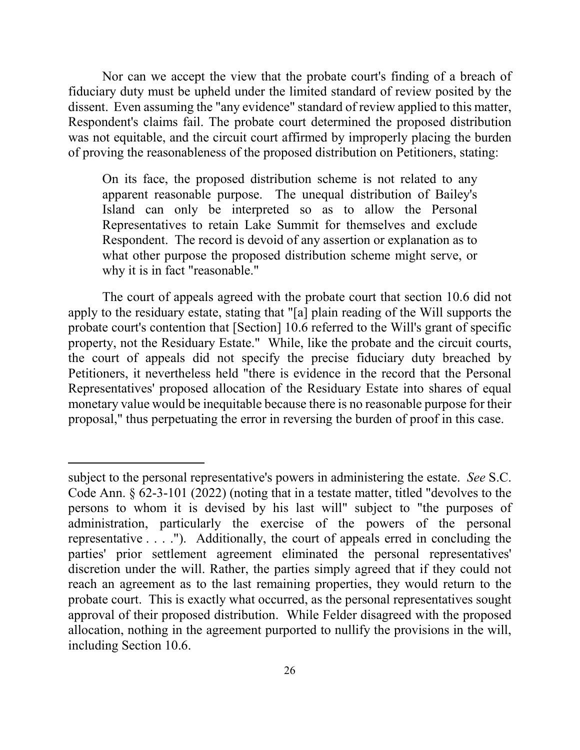Nor can we accept the view that the probate court's finding of a breach of fiduciary duty must be upheld under the limited standard of review posited by the dissent. Even assuming the "any evidence" standard of review applied to this matter, Respondent's claims fail. The probate court determined the proposed distribution was not equitable, and the circuit court affirmed by improperly placing the burden of proving the reasonableness of the proposed distribution on Petitioners, stating:

On its face, the proposed distribution scheme is not related to any apparent reasonable purpose. The unequal distribution of Bailey's Island can only be interpreted so as to allow the Personal Representatives to retain Lake Summit for themselves and exclude Respondent. The record is devoid of any assertion or explanation as to what other purpose the proposed distribution scheme might serve, or why it is in fact "reasonable."

The court of appeals agreed with the probate court that section 10.6 did not apply to the residuary estate, stating that "[a] plain reading of the Will supports the probate court's contention that [Section] 10.6 referred to the Will's grant of specific property, not the Residuary Estate." While, like the probate and the circuit courts, the court of appeals did not specify the precise fiduciary duty breached by Petitioners, it nevertheless held "there is evidence in the record that the Personal Representatives' proposed allocation of the Residuary Estate into shares of equal monetary value would be inequitable because there is no reasonable purpose for their proposal," thus perpetuating the error in reversing the burden of proof in this case.

subject to the personal representative's powers in administering the estate. *See* S.C. Code Ann. § 62-3-101 (2022) (noting that in a testate matter, titled "devolves to the persons to whom it is devised by his last will" subject to "the purposes of administration, particularly the exercise of the powers of the personal representative . . . ."). Additionally, the court of appeals erred in concluding the parties' prior settlement agreement eliminated the personal representatives' discretion under the will. Rather, the parties simply agreed that if they could not reach an agreement as to the last remaining properties, they would return to the probate court. This is exactly what occurred, as the personal representatives sought approval of their proposed distribution. While Felder disagreed with the proposed allocation, nothing in the agreement purported to nullify the provisions in the will, including Section 10.6.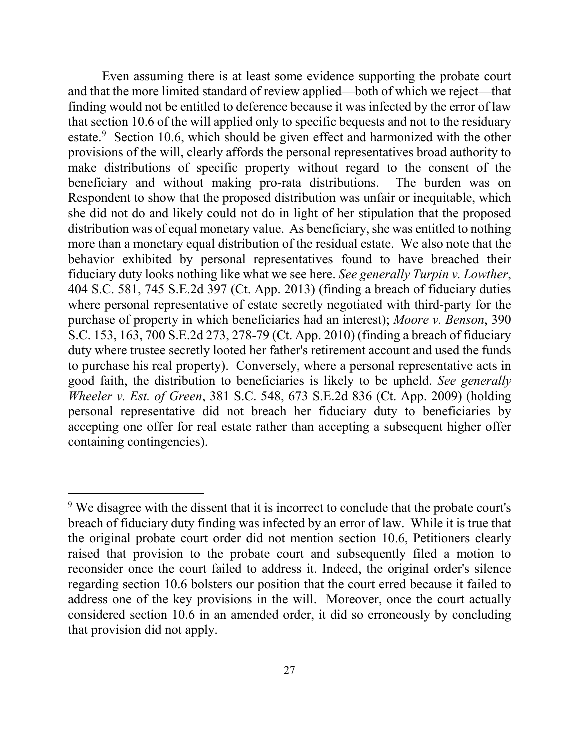Even assuming there is at least some evidence supporting the probate court and that the more limited standard of review applied—both of which we reject—that finding would not be entitled to deference because it was infected by the error of law that section 10.6 of the will applied only to specific bequests and not to the residuary estate.<sup>[9](#page-26-0)</sup> Section 10.6, which should be given effect and harmonized with the other provisions of the will, clearly affords the personal representatives broad authority to make distributions of specific property without regard to the consent of the beneficiary and without making pro-rata distributions. The burden was on Respondent to show that the proposed distribution was unfair or inequitable, which she did not do and likely could not do in light of her stipulation that the proposed distribution was of equal monetary value. As beneficiary, she was entitled to nothing more than a monetary equal distribution of the residual estate. We also note that the behavior exhibited by personal representatives found to have breached their fiduciary duty looks nothing like what we see here. *See generally Turpin v. Lowther*, 404 S.C. 581, 745 S.E.2d 397 (Ct. App. 2013) (finding a breach of fiduciary duties where personal representative of estate secretly negotiated with third-party for the purchase of property in which beneficiaries had an interest); *Moore v. Benson*, 390 S.C. 153, 163, 700 S.E.2d 273, 278-79 (Ct. App. 2010) (finding a breach of fiduciary duty where trustee secretly looted her father's retirement account and used the funds to purchase his real property). Conversely, where a personal representative acts in good faith, the distribution to beneficiaries is likely to be upheld. *See generally Wheeler v. Est. of Green*, 381 S.C. 548, 673 S.E.2d 836 (Ct. App. 2009) (holding personal representative did not breach her fiduciary duty to beneficiaries by accepting one offer for real estate rather than accepting a subsequent higher offer containing contingencies).

<span id="page-26-0"></span><sup>&</sup>lt;sup>9</sup> We disagree with the dissent that it is incorrect to conclude that the probate court's breach of fiduciary duty finding was infected by an error of law. While it is true that the original probate court order did not mention section 10.6, Petitioners clearly raised that provision to the probate court and subsequently filed a motion to reconsider once the court failed to address it. Indeed, the original order's silence regarding section 10.6 bolsters our position that the court erred because it failed to address one of the key provisions in the will. Moreover, once the court actually considered section 10.6 in an amended order, it did so erroneously by concluding that provision did not apply.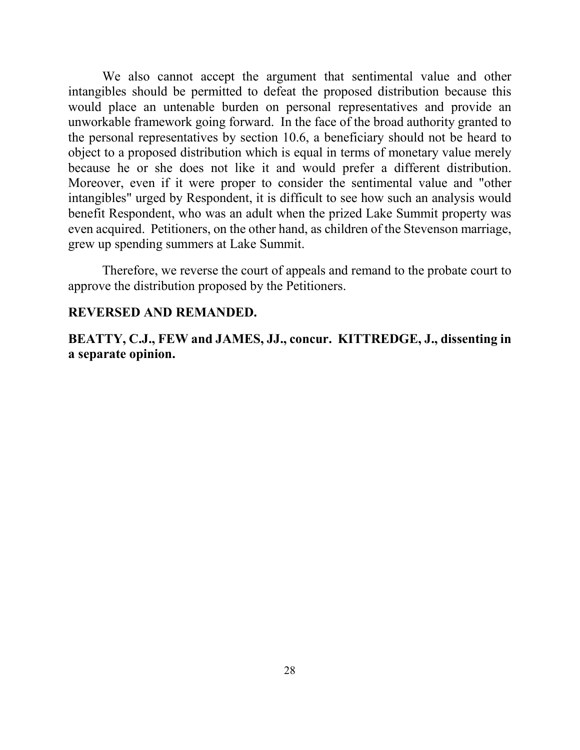We also cannot accept the argument that sentimental value and other intangibles should be permitted to defeat the proposed distribution because this would place an untenable burden on personal representatives and provide an unworkable framework going forward. In the face of the broad authority granted to the personal representatives by section 10.6, a beneficiary should not be heard to object to a proposed distribution which is equal in terms of monetary value merely because he or she does not like it and would prefer a different distribution. Moreover, even if it were proper to consider the sentimental value and "other intangibles" urged by Respondent, it is difficult to see how such an analysis would benefit Respondent, who was an adult when the prized Lake Summit property was even acquired. Petitioners, on the other hand, as children of the Stevenson marriage, grew up spending summers at Lake Summit.

Therefore, we reverse the court of appeals and remand to the probate court to approve the distribution proposed by the Petitioners.

#### **REVERSED AND REMANDED.**

**BEATTY, C.J., FEW and JAMES, JJ., concur. KITTREDGE, J., dissenting in a separate opinion.**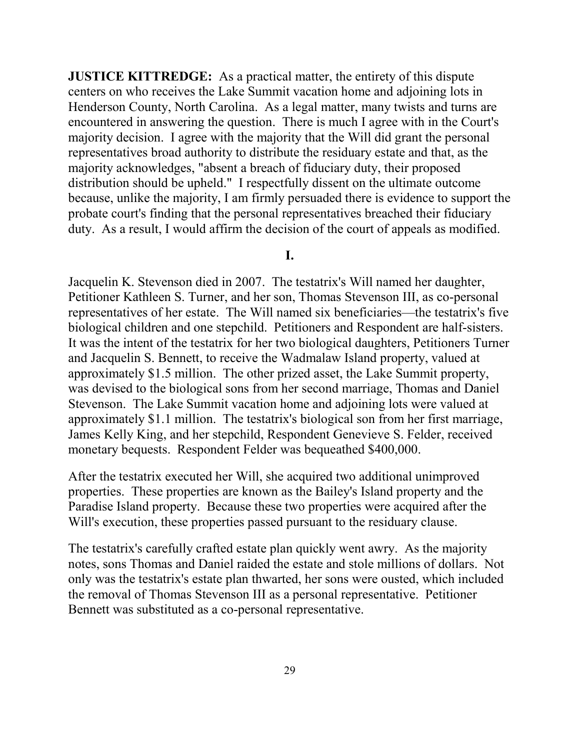**JUSTICE KITTREDGE:** As a practical matter, the entirety of this dispute centers on who receives the Lake Summit vacation home and adjoining lots in Henderson County, North Carolina. As a legal matter, many twists and turns are encountered in answering the question. There is much I agree with in the Court's majority decision. I agree with the majority that the Will did grant the personal representatives broad authority to distribute the residuary estate and that, as the majority acknowledges, "absent a breach of fiduciary duty, their proposed distribution should be upheld." I respectfully dissent on the ultimate outcome because, unlike the majority, I am firmly persuaded there is evidence to support the probate court's finding that the personal representatives breached their fiduciary duty. As a result, I would affirm the decision of the court of appeals as modified.

#### **I.**

biological children and one stepchild. Petitioners and Respondent are half-sisters. biological children and one stepchild. Petitioners and Respondent are half-sisters. It was the intent of the testatrix for her two biological daughters, Petitioners Turner monetary bequests. Respondent Felder was bequeathed \$400,000. Jacquelin K. Stevenson died in 2007. The testatrix's Will named her daughter, Petitioner Kathleen S. Turner, and her son, Thomas Stevenson III, as co-personal representatives of her estate. The Will named six beneficiaries—the testatrix's five and Jacquelin S. Bennett, to receive the Wadmalaw Island property, valued at approximately \$1.5 million. The other prized asset, the Lake Summit property, was devised to the biological sons from her second marriage, Thomas and Daniel Stevenson. The Lake Summit vacation home and adjoining lots were valued at approximately \$1.1 million. The testatrix's biological son from her first marriage, James Kelly King, and her stepchild, Respondent Genevieve S. Felder, received

 Paradise Island property. Because these two properties were acquired after the After the testatrix executed her Will, she acquired two additional unimproved properties. These properties are known as the Bailey's Island property and the Will's execution, these properties passed pursuant to the residuary clause.

 The testatrix's carefully crafted estate plan quickly went awry. As the majority notes, sons Thomas and Daniel raided the estate and stole millions of dollars. Not only was the testatrix's estate plan thwarted, her sons were ousted, which included the removal of Thomas Stevenson III as a personal representative. Petitioner Bennett was substituted as a co-personal representative.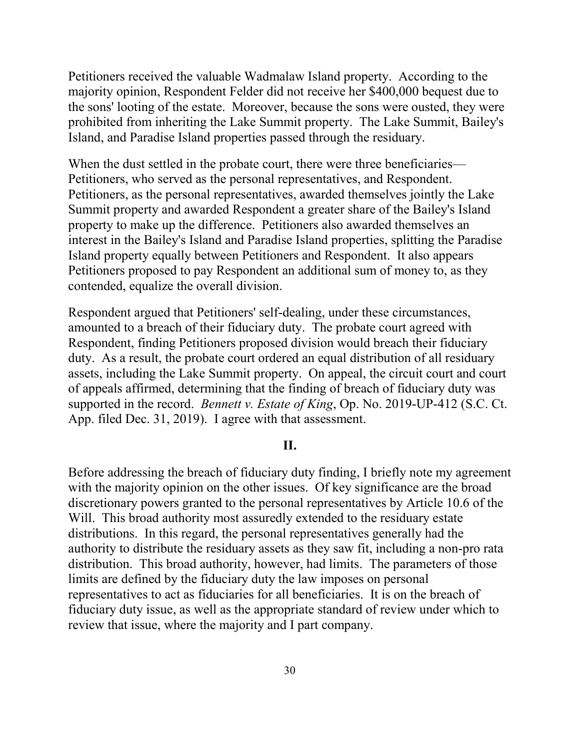majority opinion, Respondent Felder did not receive her \$400,000 bequest due to the sons' looting of the estate. Moreover, because the sons were ousted, they were Petitioners received the valuable Wadmalaw Island property. According to the prohibited from inheriting the Lake Summit property. The Lake Summit, Bailey's Island, and Paradise Island properties passed through the residuary.

Petitioners, who served as the personal representatives, and Respondent. Summit property and awarded Respondent a greater share of the Bailey's Island When the dust settled in the probate court, there were three beneficiaries— Petitioners, as the personal representatives, awarded themselves jointly the Lake property to make up the difference. Petitioners also awarded themselves an interest in the Bailey's Island and Paradise Island properties, splitting the Paradise Island property equally between Petitioners and Respondent. It also appears Petitioners proposed to pay Respondent an additional sum of money to, as they contended, equalize the overall division.

 supported in the record. *Bennett v. Estate of King*, Op. No. 2019-UP-412 (S.C. Ct. Respondent argued that Petitioners' self-dealing, under these circumstances, amounted to a breach of their fiduciary duty. The probate court agreed with Respondent, finding Petitioners proposed division would breach their fiduciary duty. As a result, the probate court ordered an equal distribution of all residuary assets, including the Lake Summit property. On appeal, the circuit court and court of appeals affirmed, determining that the finding of breach of fiduciary duty was App. filed Dec. 31, 2019). I agree with that assessment.

#### **II.**

 with the majority opinion on the other issues. Of key significance are the broad Before addressing the breach of fiduciary duty finding, I briefly note my agreement discretionary powers granted to the personal representatives by Article 10.6 of the Will. This broad authority most assuredly extended to the residuary estate distributions. In this regard, the personal representatives generally had the authority to distribute the residuary assets as they saw fit, including a non-pro rata distribution. This broad authority, however, had limits. The parameters of those limits are defined by the fiduciary duty the law imposes on personal representatives to act as fiduciaries for all beneficiaries. It is on the breach of fiduciary duty issue, as well as the appropriate standard of review under which to review that issue, where the majority and I part company.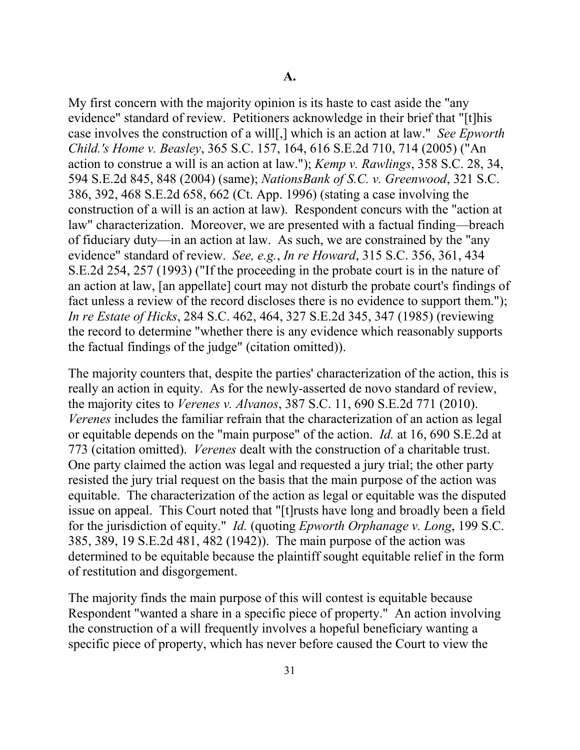case involves the construction of a will[,] which is an action at law." *See Epworth Child.'s Home v. Beasley*, 365 S.C. 157, 164, 616 S.E.2d 710, 714 (2005) ("An evidence" standard of review. *See, e.g.*, *In re Howard*, 315 S.C. 356, 361, 434 S.E.2d 254, 257 (1993) ("If the proceeding in the probate court is in the nature of the factual findings of the judge" (citation omitted)). My first concern with the majority opinion is its haste to cast aside the "any evidence" standard of review. Petitioners acknowledge in their brief that "[t]his action to construe a will is an action at law."); *Kemp v. Rawlings*, 358 S.C. 28, 34, 594 S.E.2d 845, 848 (2004) (same); *NationsBank of S.C. v. Greenwood*, 321 S.C. 386, 392, 468 S.E.2d 658, 662 (Ct. App. 1996) (stating a case involving the construction of a will is an action at law). Respondent concurs with the "action at law" characterization. Moreover, we are presented with a factual finding—breach of fiduciary duty—in an action at law. As such, we are constrained by the "any an action at law, [an appellate] court may not disturb the probate court's findings of fact unless a review of the record discloses there is no evidence to support them."); *In re Estate of Hicks*, 284 S.C. 462, 464, 327 S.E.2d 345, 347 (1985) (reviewing the record to determine "whether there is any evidence which reasonably supports

 the majority cites to *Verenes v. Alvanos*, 387 S.C. 11, 690 S.E.2d 771 (2010). or equitable depends on the "main purpose" of the action. *Id.* at 16, 690 S.E.2d at 773 (citation omitted). *Verenes* dealt with the construction of a charitable trust. One party claimed the action was legal and requested a jury trial; the other party for the jurisdiction of equity." *Id.* (quoting *Epworth Orphanage v. Long*, 199 S.C. determined to be equitable because the plaintiff sought equitable relief in the form of restitution and disgorgement. The majority counters that, despite the parties' characterization of the action, this is really an action in equity. As for the newly-asserted de novo standard of review, *Verenes* includes the familiar refrain that the characterization of an action as legal resisted the jury trial request on the basis that the main purpose of the action was equitable. The characterization of the action as legal or equitable was the disputed issue on appeal. This Court noted that "[t]rusts have long and broadly been a field 385, 389, 19 S.E.2d 481, 482 (1942)). The main purpose of the action was

 Respondent "wanted a share in a specific piece of property." An action involving the construction of a will frequently involves a hopeful beneficiary wanting a The majority finds the main purpose of this will contest is equitable because specific piece of property, which has never before caused the Court to view the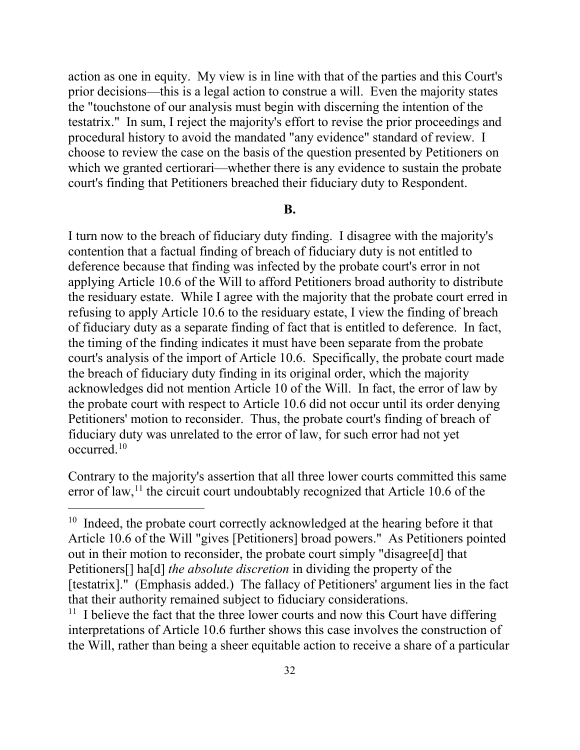the "touchstone of our analysis must begin with discerning the intention of the choose to review the case on the basis of the question presented by Petitioners on action as one in equity. My view is in line with that of the parties and this Court's prior decisions—this is a legal action to construe a will. Even the majority states testatrix." In sum, I reject the majority's effort to revise the prior proceedings and procedural history to avoid the mandated "any evidence" standard of review. I which we granted certiorari—whether there is any evidence to sustain the probate court's finding that Petitioners breached their fiduciary duty to Respondent.

#### **B.**

 the residuary estate. While I agree with the majority that the probate court erred in refusing to apply Article 10.6 to the residuary estate, I view the finding of breach the timing of the finding indicates it must have been separate from the probate court's analysis of the import of Article 10.6. Specifically, the probate court made acknowledges did not mention Article 10 of the Will. In fact, the error of law by fiduciary duty was unrelated to the error of law, for such error had not yet occurred. $10$ I turn now to the breach of fiduciary duty finding. I disagree with the majority's contention that a factual finding of breach of fiduciary duty is not entitled to deference because that finding was infected by the probate court's error in not applying Article 10.6 of the Will to afford Petitioners broad authority to distribute of fiduciary duty as a separate finding of fact that is entitled to deference. In fact, the breach of fiduciary duty finding in its original order, which the majority the probate court with respect to Article 10.6 did not occur until its order denying Petitioners' motion to reconsider. Thus, the probate court's finding of breach of

Contrary to the majority's assertion that all three lower courts committed this same error of law,  $11$  the circuit court undoubtably recognized that Article 10.6 of the

<span id="page-31-0"></span><sup>&</sup>lt;sup>10</sup> Indeed, the probate court correctly acknowledged at the hearing before it that Article 10.6 of the Will "gives [Petitioners] broad powers." As Petitioners pointed Petitioners[] ha[d] *the absolute discretion* in dividing the property of the out in their motion to reconsider, the probate court simply "disagree[d] that [testatrix]." (Emphasis added.) The fallacy of Petitioners' argument lies in the fact that their authority remained subject to fiduciary considerations. 11 I believe the fact that the three lower courts and now this Court have differing

<span id="page-31-1"></span> the Will, rather than being a sheer equitable action to receive a share of a particular interpretations of Article 10.6 further shows this case involves the construction of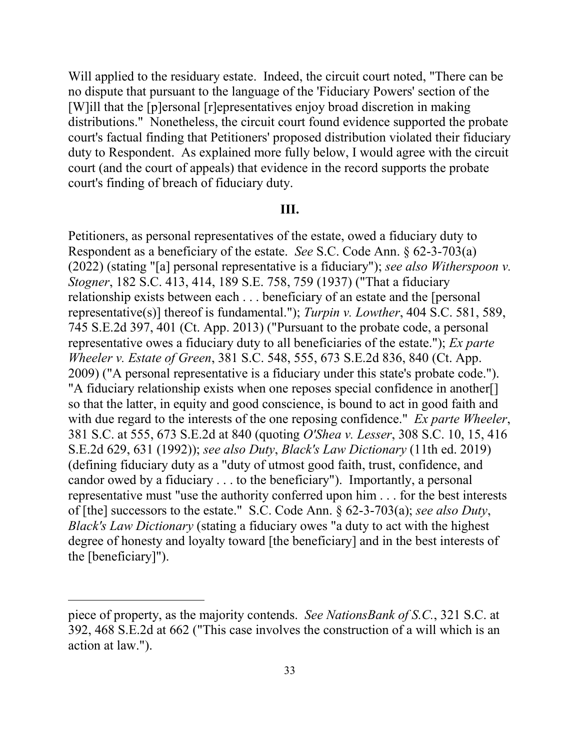Will applied to the residuary estate. Indeed, the circuit court noted, "There can be distributions." Nonetheless, the circuit court found evidence supported the probate court (and the court of appeals) that evidence in the record supports the probate no dispute that pursuant to the language of the 'Fiduciary Powers' section of the [W]ill that the [p]ersonal [r]epresentatives enjoy broad discretion in making court's factual finding that Petitioners' proposed distribution violated their fiduciary duty to Respondent. As explained more fully below, I would agree with the circuit court's finding of breach of fiduciary duty.

#### **III.**

 Respondent as a beneficiary of the estate. *See* S.C. Code Ann. § 62-3-703(a) 745 S.E.2d 397, 401 (Ct. App. 2013) ("Pursuant to the probate code, a personal 2009) ("A personal representative is a fiduciary under this state's probate code."). 2009) ("A personal representative is a fiduciary under this state's probate code."). "A fiduciary relationship exists when one reposes special confidence in another[] with due regard to the interests of the one reposing confidence." *Ex parte Wheeler*, representative must "use the authority conferred upon him . . . for the best interests Petitioners, as personal representatives of the estate, owed a fiduciary duty to (2022) (stating "[a] personal representative is a fiduciary"); *see also Witherspoon v. Stogner*, 182 S.C. 413, 414, 189 S.E. 758, 759 (1937) ("That a fiduciary relationship exists between each . . . beneficiary of an estate and the [personal representative(s)] thereof is fundamental."); *Turpin v. Lowther*, 404 S.C. 581, 589, representative owes a fiduciary duty to all beneficiaries of the estate."); *Ex parte Wheeler v. Estate of Green*, 381 S.C. 548, 555, 673 S.E.2d 836, 840 (Ct. App. so that the latter, in equity and good conscience, is bound to act in good faith and 381 S.C. at 555, 673 S.E.2d at 840 (quoting *O'Shea v. Lesser*, 308 S.C. 10, 15, 416 S.E.2d 629, 631 (1992)); *see also Duty*, *Black's Law Dictionary* (11th ed. 2019) (defining fiduciary duty as a "duty of utmost good faith, trust, confidence, and candor owed by a fiduciary . . . to the beneficiary"). Importantly, a personal of [the] successors to the estate." S.C. Code Ann. § 62-3-703(a); *see also Duty*, *Black's Law Dictionary* (stating a fiduciary owes "a duty to act with the highest degree of honesty and loyalty toward [the beneficiary] and in the best interests of the [beneficiary]").

 piece of property, as the majority contends. *See NationsBank of S.C.*, 321 S.C. at 392, 468 S.E.2d at 662 ("This case involves the construction of a will which is an action at law.").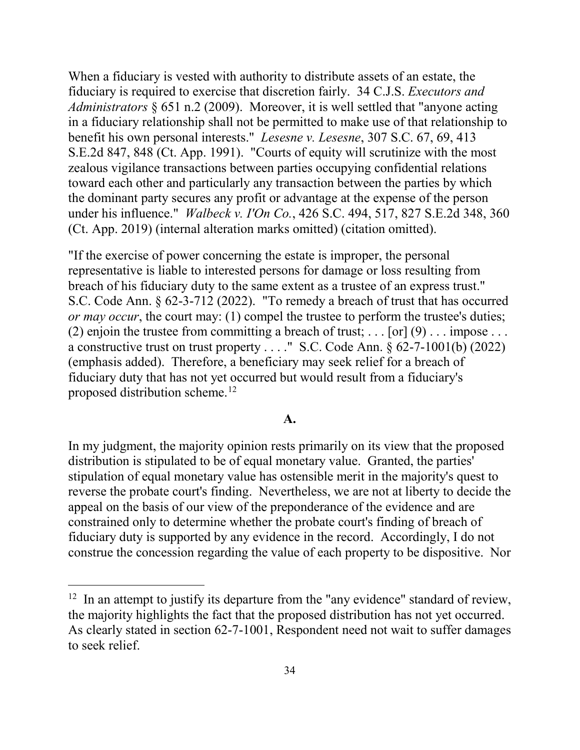benefit his own personal interests." *Lesesne v. Lesesne*, 307 S.C. 67, 69, 413 under his influence." *Walbeck v. I'On Co.*, 426 S.C. 494, 517, 827 S.E.2d 348, 360 When a fiduciary is vested with authority to distribute assets of an estate, the fiduciary is required to exercise that discretion fairly. 34 C.J.S. *Executors and Administrators* § 651 n.2 (2009). Moreover, it is well settled that "anyone acting in a fiduciary relationship shall not be permitted to make use of that relationship to S.E.2d 847, 848 (Ct. App. 1991). "Courts of equity will scrutinize with the most zealous vigilance transactions between parties occupying confidential relations toward each other and particularly any transaction between the parties by which the dominant party secures any profit or advantage at the expense of the person (Ct. App. 2019) (internal alteration marks omitted) (citation omitted).

breach of his fiduciary duty to the same extent as a trustee of an express trust." (2) enjoin the trustee from committing a breach of trust;  $\dots$  [or]  $(9) \dots$  impose  $\dots$  a constructive trust on trust property . . . ." S.C. Code Ann. § 62-7-1001(b) (2022) (emphasis added). Therefore, a beneficiary may seek relief for a breach of proposed distribution scheme.<sup>12</sup> "If the exercise of power concerning the estate is improper, the personal representative is liable to interested persons for damage or loss resulting from S.C. Code Ann. § 62-3-712 (2022). "To remedy a breach of trust that has occurred *or may occur*, the court may: (1) compel the trustee to perform the trustee's duties; fiduciary duty that has not yet occurred but would result from a fiduciary's

#### **A.**

 distribution is stipulated to be of equal monetary value. Granted, the parties' reverse the probate court's finding. Nevertheless, we are not at liberty to decide the appeal on the basis of our view of the preponderance of the evidence and are constrained only to determine whether the probate court's finding of breach of In my judgment, the majority opinion rests primarily on its view that the proposed stipulation of equal monetary value has ostensible merit in the majority's quest to fiduciary duty is supported by any evidence in the record. Accordingly, I do not construe the concession regarding the value of each property to be dispositive. Nor

<span id="page-33-0"></span> $12$  In an attempt to justify its departure from the "any evidence" standard of review, the majority highlights the fact that the proposed distribution has not yet occurred. As clearly stated in section  $62-7-1001$ , Respondent need not wait to suffer damages to seek relief.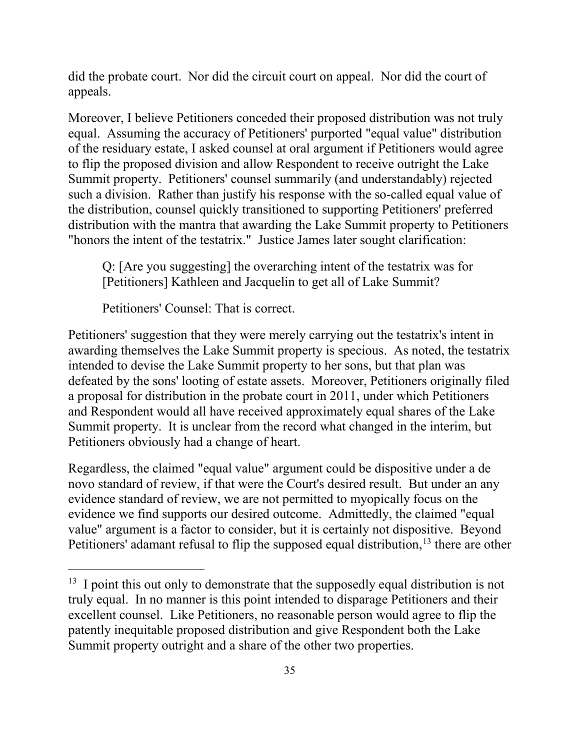did the probate court. Nor did the circuit court on appeal. Nor did the court of appeals.

 "honors the intent of the testatrix." Justice James later sought clarification: Moreover, I believe Petitioners conceded their proposed distribution was not truly equal. Assuming the accuracy of Petitioners' purported "equal value" distribution of the residuary estate, I asked counsel at oral argument if Petitioners would agree to flip the proposed division and allow Respondent to receive outright the Lake Summit property. Petitioners' counsel summarily (and understandably) rejected such a division. Rather than justify his response with the so-called equal value of the distribution, counsel quickly transitioned to supporting Petitioners' preferred distribution with the mantra that awarding the Lake Summit property to Petitioners

Q: [Are you suggesting] the overarching intent of the testatrix was for [Petitioners] Kathleen and Jacquelin to get all of Lake Summit?

Petitioners' Counsel: That is correct.

 $\overline{a}$ 

 Petitioners' suggestion that they were merely carrying out the testatrix's intent in defeated by the sons' looting of estate assets. Moreover, Petitioners originally filed Summit property. It is unclear from the record what changed in the interim, but awarding themselves the Lake Summit property is specious. As noted, the testatrix intended to devise the Lake Summit property to her sons, but that plan was a proposal for distribution in the probate court in 2011, under which Petitioners and Respondent would all have received approximately equal shares of the Lake Petitioners obviously had a change of heart.

 Regardless, the claimed "equal value" argument could be dispositive under a de novo standard of review, if that were the Court's desired result. But under an any evidence we find supports our desired outcome. Admittedly, the claimed "equal Petitioners' adamant refusal to flip the supposed equal distribution,  $13$  there are other evidence standard of review, we are not permitted to myopically focus on the value" argument is a factor to consider, but it is certainly not dispositive. Beyond

<span id="page-34-0"></span> $13$  I point this out only to demonstrate that the supposedly equal distribution is not excellent counsel. Like Petitioners, no reasonable person would agree to flip the Summit property outright and a share of the other two properties. truly equal. In no manner is this point intended to disparage Petitioners and their patently inequitable proposed distribution and give Respondent both the Lake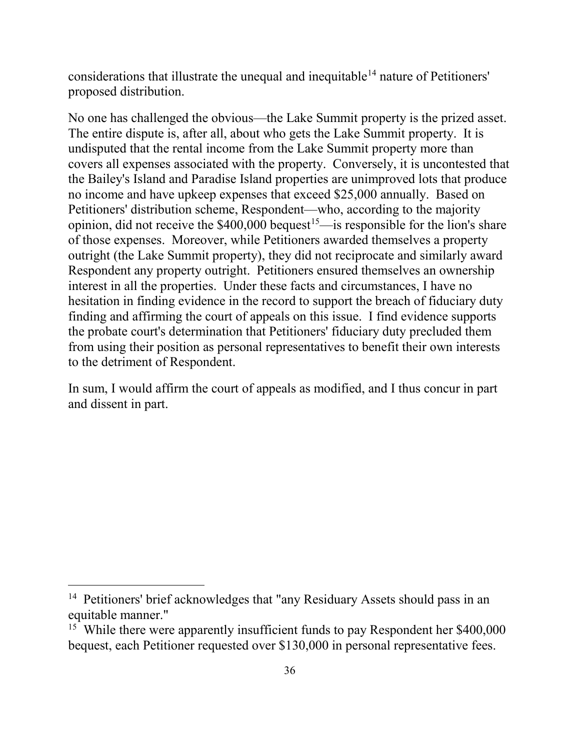considerations that illustrate the unequal and inequitable<sup>[14](#page-35-0)</sup> nature of Petitioners' proposed distribution.

opinion, did not receive the  $$400,000$  bequest<sup>15</sup>—is responsible for the lion's share hesitation in finding evidence in the record to support the breach of fiduciary duty to the detriment of Respondent. proposed distribution.<br>No one has challenged the obvious—the Lake Summit property is the prized asset.<br>The entire dispute is, after all, about who gets the Lake Summit property. It is undisputed that the rental income from the Lake Summit property more than covers all expenses associated with the property. Conversely, it is uncontested that the Bailey's Island and Paradise Island properties are unimproved lots that produce no income and have upkeep expenses that exceed \$25,000 annually. Based on Petitioners' distribution scheme, Respondent—who, according to the majority of those expenses. Moreover, while Petitioners awarded themselves a property outright (the Lake Summit property), they did not reciprocate and similarly award Respondent any property outright. Petitioners ensured themselves an ownership interest in all the properties. Under these facts and circumstances, I have no finding and affirming the court of appeals on this issue. I find evidence supports the probate court's determination that Petitioners' fiduciary duty precluded them from using their position as personal representatives to benefit their own interests

In sum, I would affirm the court of appeals as modified, and I thus concur in part and dissent in part.

<span id="page-35-0"></span><sup>&</sup>lt;sup>14</sup> Petitioners' brief acknowledges that "any Residuary Assets should pass in an equitable manner."

<span id="page-35-1"></span>equitable manner."<br><sup>15</sup> While there were apparently insufficient funds to pay Respondent her \$400,000 bequest, each Petitioner requested over \$130,000 in personal representative fees.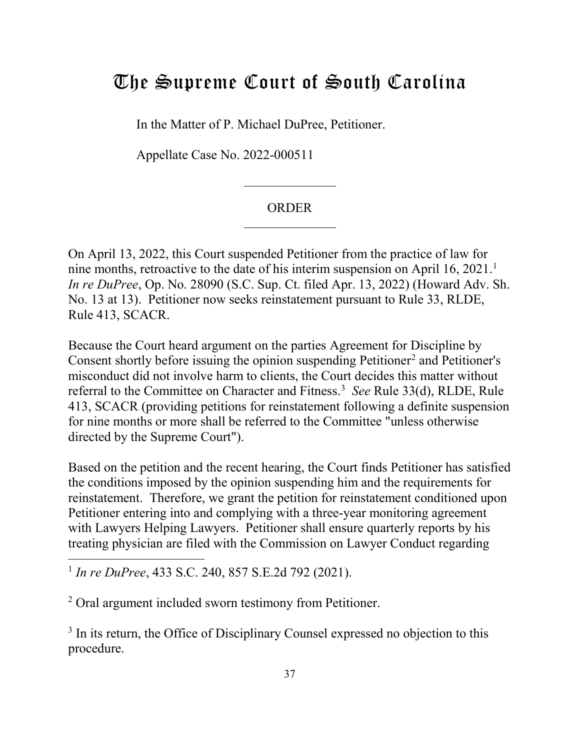# <span id="page-36-0"></span>The Supreme Court of South Carolina

In the Matter of P. Michael DuPree, Petitioner.

Appellate Case No. 2022-000511

#### ORDER

On April 13, 2022, this Court suspended Petitioner from the practice of law for nine months, retroactive to the date of his interim suspension on April [1](#page-36-1)6, 2021.<sup>1</sup> *In re DuPree*, Op. No. 28090 (S.C. Sup. Ct. filed Apr. 13, 2022) (Howard Adv. Sh. No. 13 at 13). Petitioner now seeks reinstatement pursuant to Rule 33, RLDE, Rule 413, SCACR.

Because the Court heard argument on the parties Agreement for Discipline by Consent shortly before issuing the opinion suspending Petitioner<sup>[2](#page-36-2)</sup> and Petitioner's misconduct did not involve harm to clients, the Court decides this matter without referral to the Committee on Character and Fitness.<sup>3</sup> See Rule 33(d), RLDE, Rule 413, SCACR (providing petitions for reinstatement following a definite suspension for nine months or more shall be referred to the Committee "unless otherwise directed by the Supreme Court").

Based on the petition and the recent hearing, the Court finds Petitioner has satisfied the conditions imposed by the opinion suspending him and the requirements for reinstatement. Therefore, we grant the petition for reinstatement conditioned upon Petitioner entering into and complying with a three-year monitoring agreement with Lawyers Helping Lawyers. Petitioner shall ensure quarterly reports by his treating physician are filed with the Commission on Lawyer Conduct regarding

<span id="page-36-1"></span><sup>1</sup>*In re DuPree*, 433 S.C. 240, 857 S.E.2d 792 (2021).

 $\overline{a}$ 

<span id="page-36-2"></span>2 Oral argument included sworn testimony from Petitioner.

<span id="page-36-3"></span><sup>3</sup> In its return, the Office of Disciplinary Counsel expressed no objection to this procedure.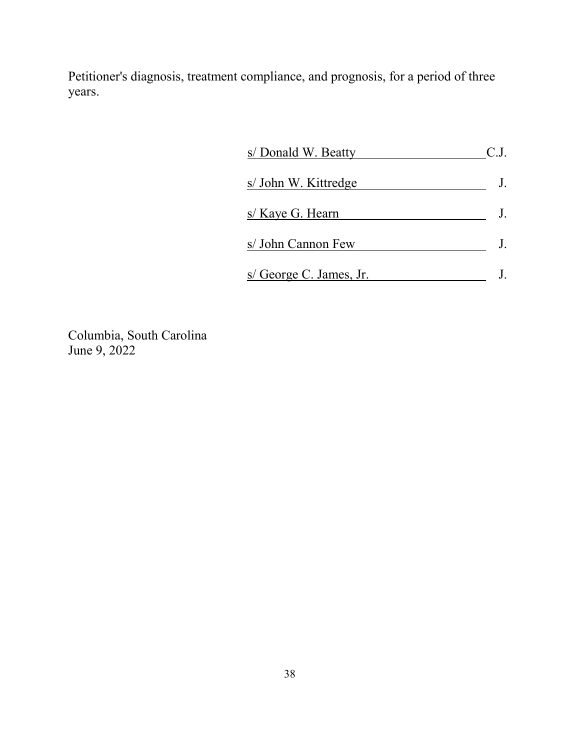Petitioner's diagnosis, treatment compliance, and prognosis, for a period of three years.

| s/ Donald W. Beatty     | C.J. |
|-------------------------|------|
| s/ John W. Kittredge    |      |
| s/ Kaye G. Hearn        |      |
| s/ John Cannon Few      |      |
| s/ George C. James, Jr. |      |

Columbia, South Carolina June 9, 2022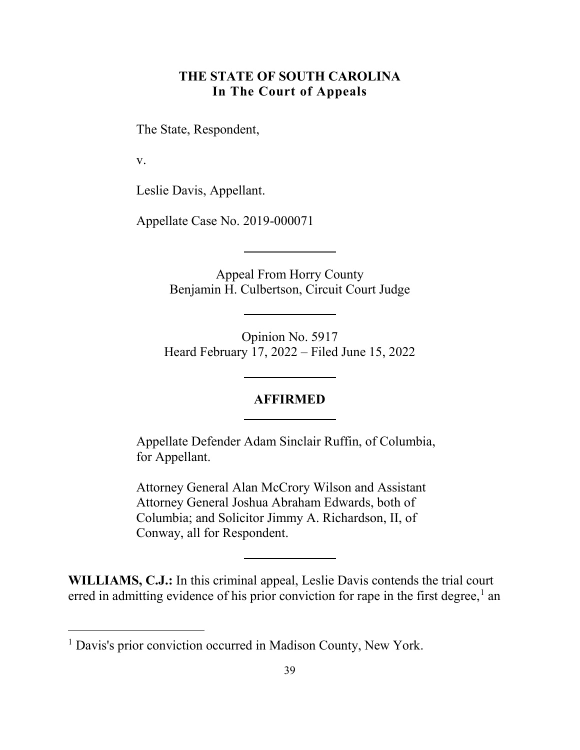# **THE STATE OF SOUTH CAROLINA In The Court of Appeals**

<span id="page-38-0"></span>The State, Respondent,

v.

 $\overline{a}$ 

Leslie Davis, Appellant.

Appellate Case No. 2019-000071

Appeal From Horry County Benjamin H. Culbertson, Circuit Court Judge

Opinion No. 5917 Heard February 17, 2022 – Filed June 15, 2022

#### **AFFIRMED**

Appellate Defender Adam Sinclair Ruffin, of Columbia, for Appellant.

Attorney General Alan McCrory Wilson and Assistant Attorney General Joshua Abraham Edwards, both of Columbia; and Solicitor Jimmy A. Richardson, II, of Conway, all for Respondent.

**WILLIAMS, C.J.:** In this criminal appeal, Leslie Davis contends the trial court erred in admitting evidence of his prior conviction for rape in the first degree, $<sup>1</sup>$  an</sup>

<span id="page-38-1"></span><sup>&</sup>lt;sup>1</sup> Davis's prior conviction occurred in Madison County, New York.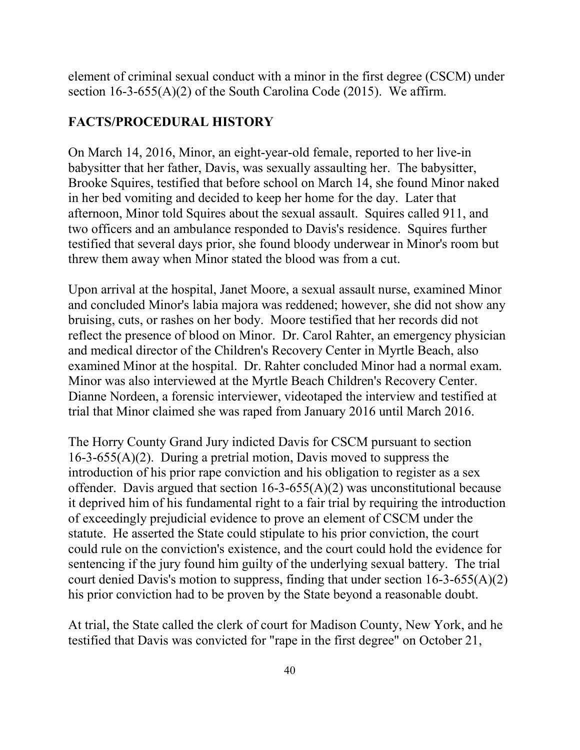element of criminal sexual conduct with a minor in the first degree (CSCM) under section  $16-3-655(A)(2)$  of the South Carolina Code (2015). We affirm.

#### **FACTS/PROCEDURAL HISTORY**

 in her bed vomiting and decided to keep her home for the day. Later that afternoon, Minor told Squires about the sexual assault. Squires called 911, and two officers and an ambulance responded to Davis's residence. Squires further threw them away when Minor stated the blood was from a cut. On March 14, 2016, Minor, an eight-year-old female, reported to her live-in babysitter that her father, Davis, was sexually assaulting her. The babysitter, Brooke Squires, testified that before school on March 14, she found Minor naked testified that several days prior, she found bloody underwear in Minor's room but

 bruising, cuts, or rashes on her body. Moore testified that her records did not reflect the presence of blood on Minor. Dr. Carol Rahter, an emergency physician examined Minor at the hospital. Dr. Rahter concluded Minor had a normal exam. trial that Minor claimed she was raped from January 2016 until March 2016. Upon arrival at the hospital, Janet Moore, a sexual assault nurse, examined Minor and concluded Minor's labia majora was reddened; however, she did not show any and medical director of the Children's Recovery Center in Myrtle Beach, also Minor was also interviewed at the Myrtle Beach Children's Recovery Center. Dianne Nordeen, a forensic interviewer, videotaped the interview and testified at

 16-3-655(A)(2). During a pretrial motion, Davis moved to suppress the offender. Davis argued that section  $16-3-655(A)(2)$  was unconstitutional because of exceedingly prejudicial evidence to prove an element of CSCM under the statute. He asserted the State could stipulate to his prior conviction, the court sentencing if the jury found him guilty of the underlying sexual battery. The trial his prior conviction had to be proven by the State beyond a reasonable doubt. The Horry County Grand Jury indicted Davis for CSCM pursuant to section introduction of his prior rape conviction and his obligation to register as a sex it deprived him of his fundamental right to a fair trial by requiring the introduction could rule on the conviction's existence, and the court could hold the evidence for court denied Davis's motion to suppress, finding that under section  $16-3-655(A)(2)$ 

At trial, the State called the clerk of court for Madison County, New York, and he testified that Davis was convicted for "rape in the first degree" on October 21,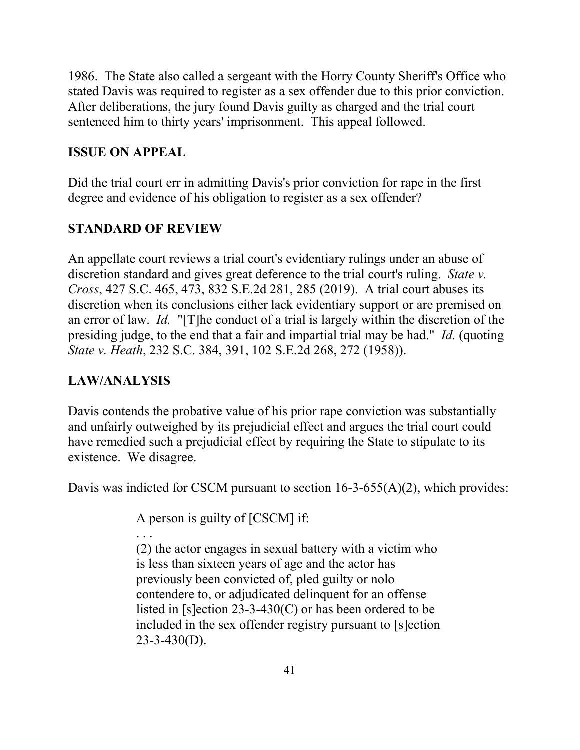1986. The State also called a sergeant with the Horry County Sheriff's Office who stated Davis was required to register as a sex offender due to this prior conviction. After deliberations, the jury found Davis guilty as charged and the trial court sentenced him to thirty years' imprisonment. This appeal followed.

# **ISSUE ON APPEAL**

Did the trial court err in admitting Davis's prior conviction for rape in the first degree and evidence of his obligation to register as a sex offender?

# **STANDARD OF REVIEW**

 *Cross*, 427 S.C. 465, 473, 832 S.E.2d 281, 285 (2019). A trial court abuses its an error of law. *Id.* "[T]he conduct of a trial is largely within the discretion of the presiding judge, to the end that a fair and impartial trial may be had." *Id.* (quoting *State v. Heath*, 232 S.C. 384, 391, 102 S.E.2d 268, 272 (1958)). An appellate court reviews a trial court's evidentiary rulings under an abuse of discretion standard and gives great deference to the trial court's ruling. *State v.*  discretion when its conclusions either lack evidentiary support or are premised on

# **LAW/ANALYSIS**

Davis contends the probative value of his prior rape conviction was substantially and unfairly outweighed by its prejudicial effect and argues the trial court could have remedied such a prejudicial effect by requiring the State to stipulate to its existence. We disagree.

Davis was indicted for CSCM pursuant to section 16-3-655(A)(2), which provides:

A person is guilty of [CSCM] if:

. . .

 included in the sex offender registry pursuant to [s]ection (2) the actor engages in sexual battery with a victim who is less than sixteen years of age and the actor has previously been convicted of, pled guilty or nolo contendere to, or adjudicated delinquent for an offense listed in [s]ection 23-3-430(C) or has been ordered to be  $23 - 3 - 430(D)$ .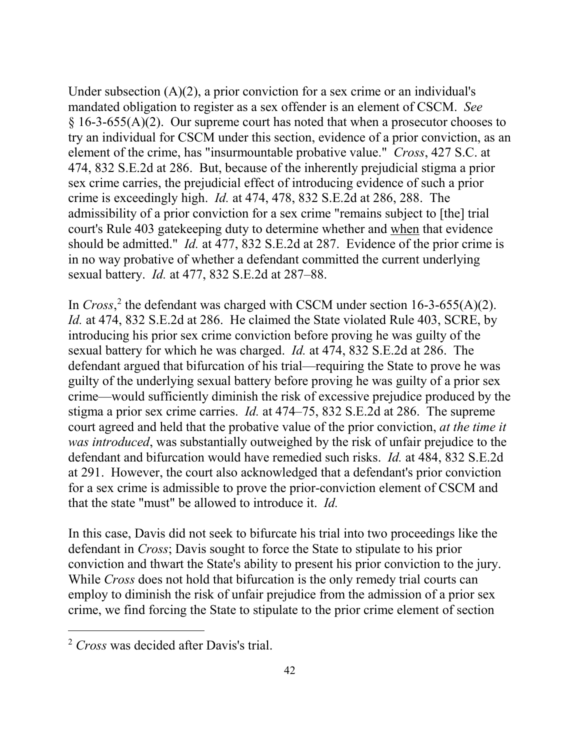mandated obligation to register as a sex offender is an element of CSCM. *See*  element of the crime, has "insurmountable probative value." *Cross*, 427 S.C. at 474, 832 S.E.2d at 286. But, because of the inherently prejudicial stigma a prior sex crime carries, the prejudicial effect of introducing evidence of such a prior crime is exceedingly high. *Id.* at 474, 478, 832 S.E.2d at 286, 288. The should be admitted." *Id.* at 477, 832 S.E.2d at 287. Evidence of the prior crime is in no way probative of whether a defendant committed the current underlying sexual battery. *Id.* at 477, 832 S.E.2d at 287–88. Under subsection  $(A)(2)$ , a prior conviction for a sex crime or an individual's  $\S 16-3-655(A)(2)$ . Our supreme court has noted that when a prosecutor chooses to try an individual for CSCM under this section, evidence of a prior conviction, as an admissibility of a prior conviction for a sex crime "remains subject to [the] trial court's Rule 403 gatekeeping duty to determine whether and when that evidence

 In *Cross*, [2](#page-41-0) the defendant was charged with CSCM under section 16-3-655(A)(2). sexual battery for which he was charged. *Id.* at 474, 832 S.E.2d at 286. The defendant argued that bifurcation of his trial—requiring the State to prove he was stigma a prior sex crime carries. *Id.* at 474–75, 832 S.E.2d at 286. The supreme court agreed and held that the probative value of the prior conviction, *at the time it*  defendant and bifurcation would have remedied such risks. *Id.* at 484, 832 S.E.2d that the state "must" be allowed to introduce it. *Id. Id.* at 474, 832 S.E.2d at 286. He claimed the State violated Rule 403, SCRE, by introducing his prior sex crime conviction before proving he was guilty of the guilty of the underlying sexual battery before proving he was guilty of a prior sex crime—would sufficiently diminish the risk of excessive prejudice produced by the *was introduced*, was substantially outweighed by the risk of unfair prejudice to the at 291. However, the court also acknowledged that a defendant's prior conviction for a sex crime is admissible to prove the prior-conviction element of CSCM and

 In this case, Davis did not seek to bifurcate his trial into two proceedings like the defendant in *Cross*; Davis sought to force the State to stipulate to his prior conviction and thwart the State's ability to present his prior conviction to the jury. While *Cross* does not hold that bifurcation is the only remedy trial courts can employ to diminish the risk of unfair prejudice from the admission of a prior sex crime, we find forcing the State to stipulate to the prior crime element of section

<span id="page-41-0"></span> 2 *Cross* was decided after Davis's trial. 42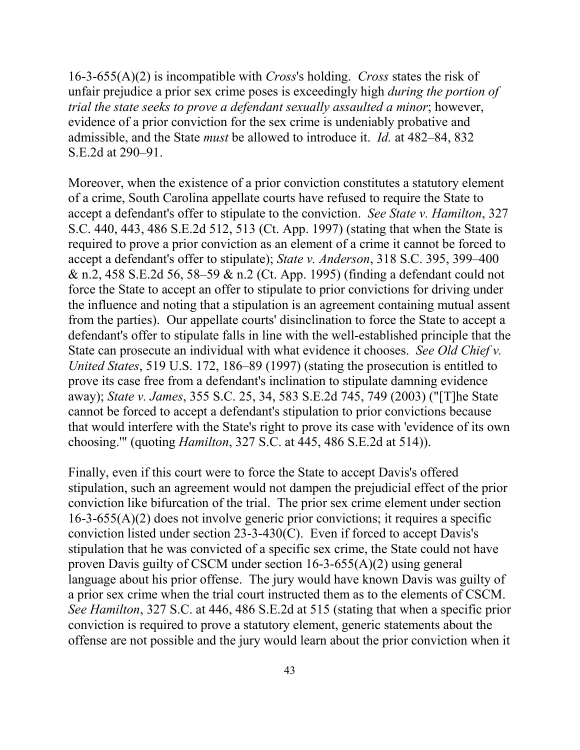16-3-655(A)(2) is incompatible with *Cross*'s holding. *Cross* states the risk of unfair prejudice a prior sex crime poses is exceedingly high *during the portion of*  admissible, and the State *must* be allowed to introduce it. *Id.* at 482–84, 832 *trial the state seeks to prove a defendant sexually assaulted a minor*; however, evidence of a prior conviction for the sex crime is undeniably probative and S.E.2d at 290–91.

 accept a defendant's offer to stipulate to the conviction. *See State v. Hamilton*, 327 force the State to accept an offer to stipulate to prior convictions for driving under State can prosecute an individual with what evidence it chooses. *See Old Chief v.*  away); *State v. James*, 355 S.C. 25, 34, 583 S.E.2d 745, 749 (2003) ("[T]he State choosing.'" (quoting *Hamilton*, 327 S.C. at 445, 486 S.E.2d at 514)). Moreover, when the existence of a prior conviction constitutes a statutory element of a crime, South Carolina appellate courts have refused to require the State to S.C. 440, 443, 486 S.E.2d 512, 513 (Ct. App. 1997) (stating that when the State is required to prove a prior conviction as an element of a crime it cannot be forced to accept a defendant's offer to stipulate); *State v. Anderson*, 318 S.C. 395, 399–400 & n.2, 458 S.E.2d 56, 58–59 & n.2 (Ct. App. 1995) (finding a defendant could not the influence and noting that a stipulation is an agreement containing mutual assent from the parties). Our appellate courts' disinclination to force the State to accept a defendant's offer to stipulate falls in line with the well-established principle that the *United States*, 519 U.S. 172, 186–89 (1997) (stating the prosecution is entitled to prove its case free from a defendant's inclination to stipulate damning evidence cannot be forced to accept a defendant's stipulation to prior convictions because that would interfere with the State's right to prove its case with 'evidence of its own

 Finally, even if this court were to force the State to accept Davis's offered stipulation, such an agreement would not dampen the prejudicial effect of the prior conviction like bifurcation of the trial. The prior sex crime element under section 16-3-655(A)(2) does not involve generic prior convictions; it requires a specific conviction listed under section 23-3-430(C). Even if forced to accept Davis's stipulation that he was convicted of a specific sex crime, the State could not have proven Davis guilty of CSCM under section 16-3-655(A)(2) using general language about his prior offense. The jury would have known Davis was guilty of a prior sex crime when the trial court instructed them as to the elements of CSCM. *See Hamilton*, 327 S.C. at 446, 486 S.E.2d at 515 (stating that when a specific prior conviction is required to prove a statutory element, generic statements about the offense are not possible and the jury would learn about the prior conviction when it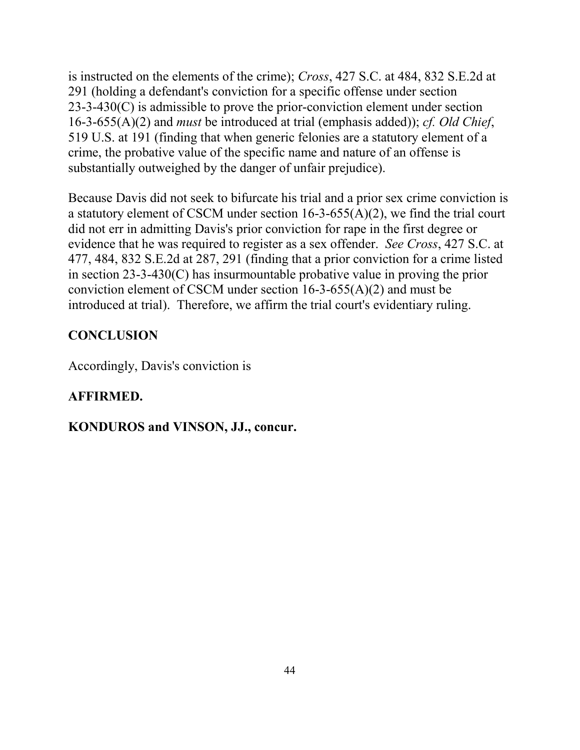291 (holding a defendant's conviction for a specific offense under section crime, the probative value of the specific name and nature of an offense is substantially outweighed by the danger of unfair prejudice). is instructed on the elements of the crime); *Cross*, 427 S.C. at 484, 832 S.E.2d at 23-3-430(C) is admissible to prove the prior-conviction element under section 16-3-655(A)(2) and *must* be introduced at trial (emphasis added)); *cf. Old Chief*, 519 U.S. at 191 (finding that when generic felonies are a statutory element of a

 Because Davis did not seek to bifurcate his trial and a prior sex crime conviction is evidence that he was required to register as a sex offender. *See Cross*, 427 S.C. at 477, 484, 832 S.E.2d at 287, 291 (finding that a prior conviction for a crime listed introduced at trial). Therefore, we affirm the trial court's evidentiary ruling. a statutory element of CSCM under section 16-3-655(A)(2), we find the trial court did not err in admitting Davis's prior conviction for rape in the first degree or in section 23-3-430(C) has insurmountable probative value in proving the prior conviction element of CSCM under section 16-3-655(A)(2) and must be

# **CONCLUSION**

Accordingly, Davis's conviction is

# **AFFIRMED.**

# **KONDUROS and VINSON, JJ., concur.**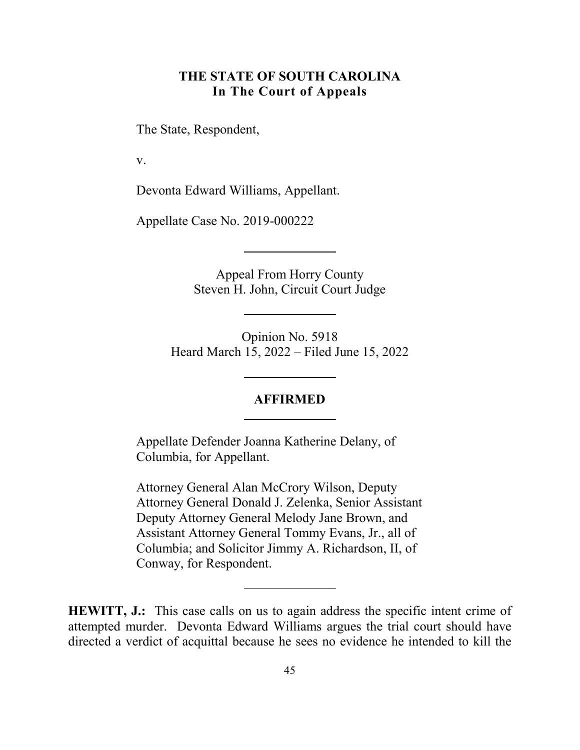## **THE STATE OF SOUTH CAROLINA In The Court of Appeals**

The State, Respondent,

v.

Devonta Edward Williams, Appellant.

Appellate Case No. 2019-000222

Appeal From Horry County Steven H. John, Circuit Court Judge

Opinion No. 5918 Heard March 15, 2022 – Filed June 15, 2022

#### **AFFIRMED**

Appellate Defender Joanna Katherine Delany, of Columbia, for Appellant.

Attorney General Alan McCrory Wilson, Deputy Attorney General Donald J. Zelenka, Senior Assistant Deputy Attorney General Melody Jane Brown, and Assistant Attorney General Tommy Evans, Jr., all of Columbia; and Solicitor Jimmy A. Richardson, II, of Conway, for Respondent.

**HEWITT, J.:** This case calls on us to again address the specific intent crime of attempted murder. Devonta Edward Williams argues the trial court should have directed a verdict of acquittal because he sees no evidence he intended to kill the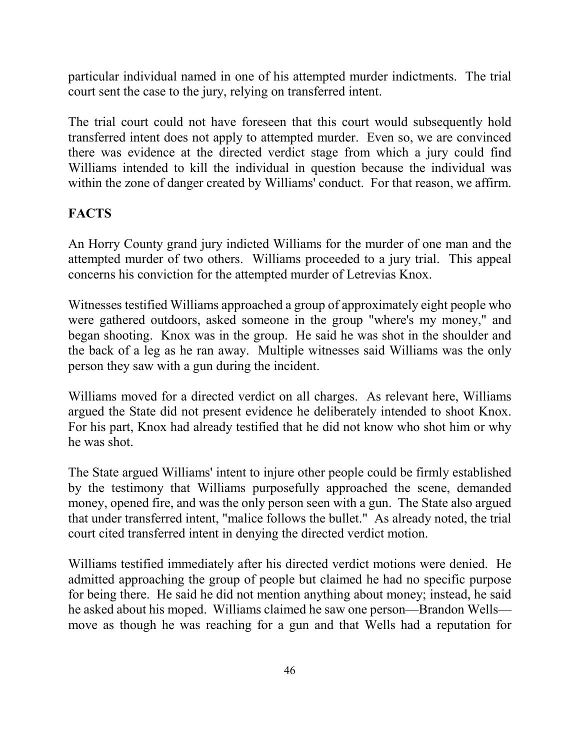particular individual named in one of his attempted murder indictments. The trial court sent the case to the jury, relying on transferred intent.

 there was evidence at the directed verdict stage from which a jury could find within the zone of danger created by Williams' conduct. For that reason, we affirm. The trial court could not have foreseen that this court would subsequently hold transferred intent does not apply to attempted murder. Even so, we are convinced Williams intended to kill the individual in question because the individual was

# **FACTS**

 An Horry County grand jury indicted Williams for the murder of one man and the concerns his conviction for the attempted murder of Letrevias Knox. attempted murder of two others. Williams proceeded to a jury trial. This appeal

 were gathered outdoors, asked someone in the group "where's my money," and the back of a leg as he ran away. Multiple witnesses said Williams was the only person they saw with a gun during the incident. Witnesses testified Williams approached a group of approximately eight people who began shooting. Knox was in the group. He said he was shot in the shoulder and

person they saw with a gun during the incident.<br>Williams moved for a directed verdict on all charges. As relevant here, Williams argued the State did not present evidence he deliberately intended to shoot Knox. he was shot. For his part, Knox had already testified that he did not know who shot him or why

he was shot.<br>The State argued Williams' intent to injure other people could be firmly established money, opened fire, and was the only person seen with a gun. The State also argued court cited transferred intent in denying the directed verdict motion. by the testimony that Williams purposefully approached the scene, demanded that under transferred intent, "malice follows the bullet." As already noted, the trial

 Williams testified immediately after his directed verdict motions were denied. He for being there. He said he did not mention anything about money; instead, he said he asked about his moped. Williams claimed he saw one person—Brandon Wells— move as though he was reaching for a gun and that Wells had a reputation for admitted approaching the group of people but claimed he had no specific purpose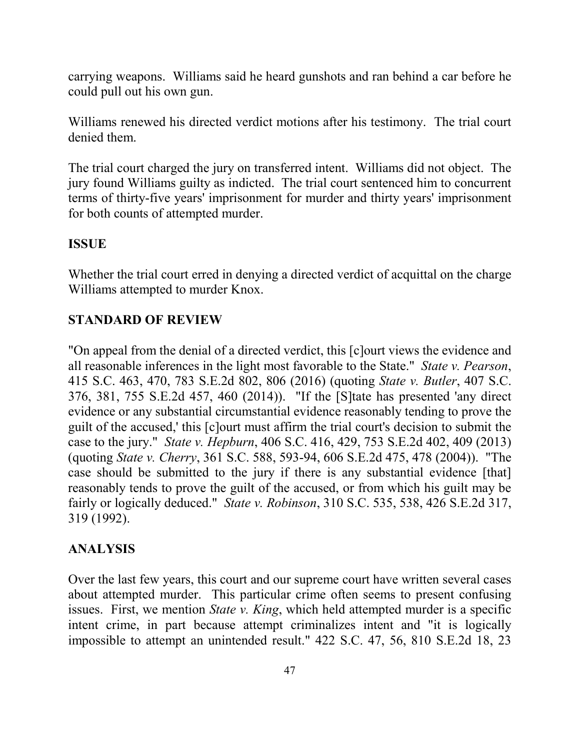carrying weapons. Williams said he heard gunshots and ran behind a car before he could pull out his own gun.

 denied them. Williams renewed his directed verdict motions after his testimony. The trial court

 jury found Williams guilty as indicted. The trial court sentenced him to concurrent for both counts of attempted murder. The trial court charged the jury on transferred intent. Williams did not object. The terms of thirty-five years' imprisonment for murder and thirty years' imprisonment

#### **ISSUE**

Whether the trial court erred in denying a directed verdict of acquittal on the charge Williams attempted to murder Knox.

#### **STANDARD OF REVIEW**

 "On appeal from the denial of a directed verdict, this [c]ourt views the evidence and 415 S.C. 463, 470, 783 S.E.2d 802, 806 (2016) (quoting *State v. Butler*, 407 S.C. 376, 381, 755 S.E.2d 457, 460 (2014)). "If the [S]tate has presented 'any direct guilt of the accused,' this [c]ourt must affirm the trial court's decision to submit the (quoting *State v. Cherry*, 361 S.C. 588, 593-94, 606 S.E.2d 475, 478 (2004)). "The case should be submitted to the jury if there is any substantial evidence [that] fairly or logically deduced." *State v. Robinson*, 310 S.C. 535, 538, 426 S.E.2d 317, 319 (1992). all reasonable inferences in the light most favorable to the State." *State v. Pearson*, evidence or any substantial circumstantial evidence reasonably tending to prove the case to the jury." *State v. Hepburn*, 406 S.C. 416, 429, 753 S.E.2d 402, 409 (2013) reasonably tends to prove the guilt of the accused, or from which his guilt may be

#### **ANALYSIS**

 about attempted murder. This particular crime often seems to present confusing issues. First, we mention *State v. King*, which held attempted murder is a specific intent crime, in part because attempt criminalizes intent and "it is logically Over the last few years, this court and our supreme court have written several cases impossible to attempt an unintended result." 422 S.C. 47, 56, 810 S.E.2d 18, 23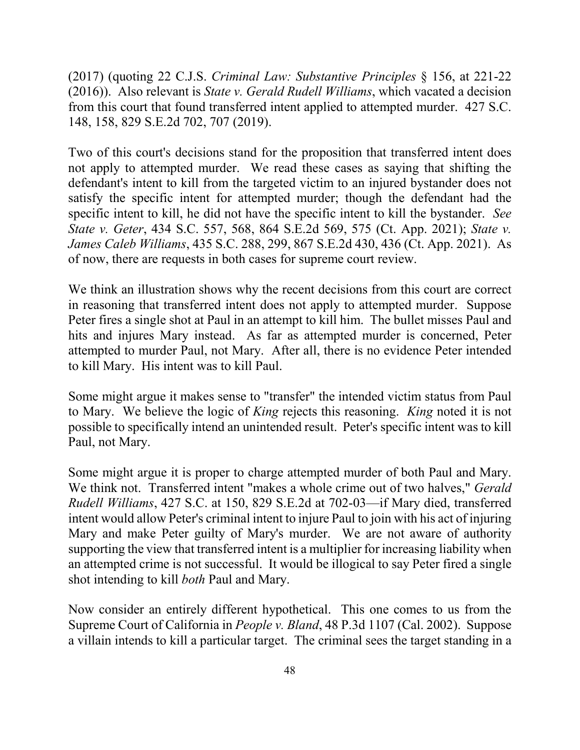148, 158, 829 S.E.2d 702, 707 (2019). (2017) (quoting 22 C.J.S. *Criminal Law: Substantive Principles* § 156, at 221-22 (2016)). Also relevant is *State v. Gerald Rudell Williams*, which vacated a decision from this court that found transferred intent applied to attempted murder. 427 S.C.

 not apply to attempted murder. We read these cases as saying that shifting the specific intent to kill, he did not have the specific intent to kill the bystander. *See*  of now, there are requests in both cases for supreme court review. Two of this court's decisions stand for the proposition that transferred intent does defendant's intent to kill from the targeted victim to an injured bystander does not satisfy the specific intent for attempted murder; though the defendant had the *State v. Geter*, 434 S.C. 557, 568, 864 S.E.2d 569, 575 (Ct. App. 2021); *State v. James Caleb Williams*, 435 S.C. 288, 299, 867 S.E.2d 430, 436 (Ct. App. 2021). As

 hits and injures Mary instead. As far as attempted murder is concerned, Peter attempted to murder Paul, not Mary. After all, there is no evidence Peter intended to kill Mary. His intent was to kill Paul. We think an illustration shows why the recent decisions from this court are correct in reasoning that transferred intent does not apply to attempted murder. Suppose Peter fires a single shot at Paul in an attempt to kill him. The bullet misses Paul and

to kill Mary. His intent was to kill Paul.<br>Some might argue it makes sense to "transfer" the intended victim status from Paul to Mary. We believe the logic of *King* rejects this reasoning. *King* noted it is not possible to specifically intend an unintended result. Peter's specific intent was to kill Paul, not Mary.

 We think not. Transferred intent "makes a whole crime out of two halves," *Gerald*  intent would allow Peter's criminal intent to injure Paul to join with his act of injuring supporting the view that transferred intent is a multiplier for increasing liability when an attempted crime is not successful. It would be illogical to say Peter fired a single shot intending to kill *both* Paul and Mary. Some might argue it is proper to charge attempted murder of both Paul and Mary. *Rudell Williams*, 427 S.C. at 150, 829 S.E.2d at 702-03—if Mary died, transferred Mary and make Peter guilty of Mary's murder. We are not aware of authority

shot intending to kill *both* Paul and Mary.<br>Now consider an entirely different hypothetical. This one comes to us from the Supreme Court of California in *People v. Bland*, 48 P.3d 1107 (Cal. 2002). Suppose a villain intends to kill a particular target. The criminal sees the target standing in a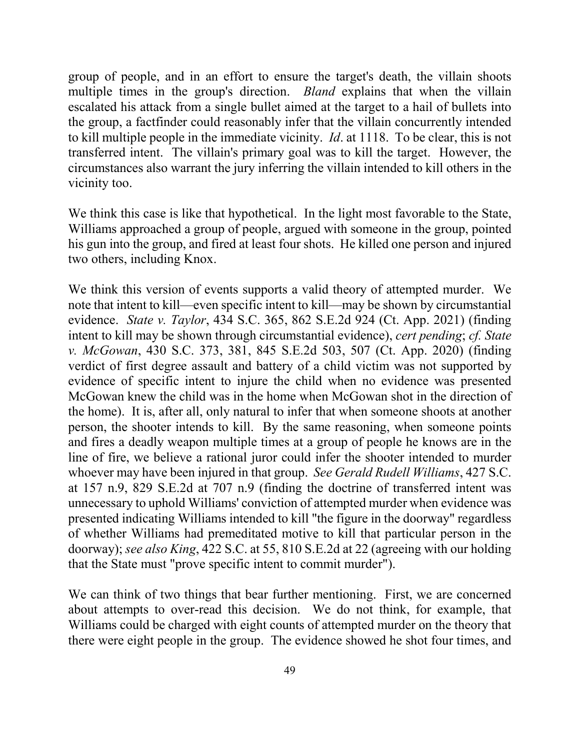multiple times in the group's direction. *Bland* explains that when the villain the group, a factfinder could reasonably infer that the villain concurrently intended to kill multiple people in the immediate vicinity. *Id*. at 1118. To be clear, this is not transferred intent. The villain's primary goal was to kill the target. However, the circumstances also warrant the jury inferring the villain intended to kill others in the vicinity too. group of people, and in an effort to ensure the target's death, the villain shoots escalated his attack from a single bullet aimed at the target to a hail of bullets into

 We think this case is like that hypothetical. In the light most favorable to the State, two others, including Knox. Williams approached a group of people, argued with someone in the group, pointed his gun into the group, and fired at least four shots. He killed one person and injured

 evidence. *State v. Taylor*, 434 S.C. 365, 862 S.E.2d 924 (Ct. App. 2021) (finding intent to kill may be shown through circumstantial evidence), *cert pending*; *cf. State*  the home). It is, after all, only natural to infer that when someone shoots at another person, the shooter intends to kill. By the same reasoning, when someone points line of fire, we believe a rational juror could infer the shooter intended to murder whoever may have been injured in that group. *See Gerald Rudell Williams*, 427 S.C. We think this version of events supports a valid theory of attempted murder. We note that intent to kill—even specific intent to kill—may be shown by circumstantial *v. McGowan*, 430 S.C. 373, 381, 845 S.E.2d 503, 507 (Ct. App. 2020) (finding verdict of first degree assault and battery of a child victim was not supported by evidence of specific intent to injure the child when no evidence was presented McGowan knew the child was in the home when McGowan shot in the direction of and fires a deadly weapon multiple times at a group of people he knows are in the at 157 n.9, 829 S.E.2d at 707 n.9 (finding the doctrine of transferred intent was unnecessary to uphold Williams' conviction of attempted murder when evidence was presented indicating Williams intended to kill "the figure in the doorway" regardless of whether Williams had premeditated motive to kill that particular person in the doorway); *see also King*, 422 S.C. at 55, 810 S.E.2d at 22 (agreeing with our holding that the State must "prove specific intent to commit murder").

 Williams could be charged with eight counts of attempted murder on the theory that there were eight people in the group. The evidence showed he shot four times, and We can think of two things that bear further mentioning. First, we are concerned about attempts to over-read this decision. We do not think, for example, that